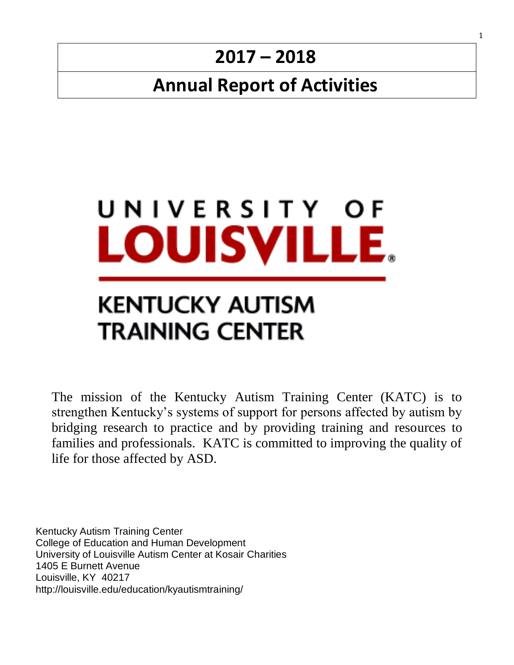# **2017 – 2018**

# **Annual Report of Activities**



# KENTUCKY AUTISM **TRAINING CENTER**

The mission of the Kentucky Autism Training Center (KATC) is to strengthen Kentucky's systems of support for persons affected by autism by bridging research to practice and by providing training and resources to families and professionals. KATC is committed to improving the quality of life for those affected by ASD.

Kentucky Autism Training Center College of Education and Human Development University of Louisville Autism Center at Kosair Charities 1405 E Burnett Avenue Louisville, KY 40217 http://louisville.edu/education/kyautismtraining/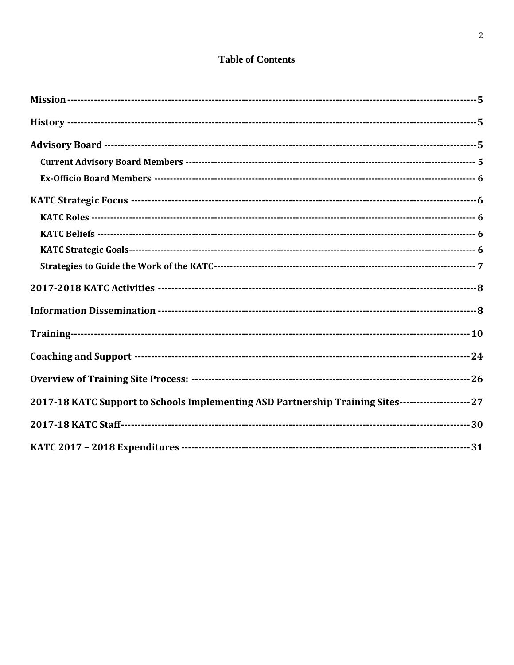#### **Table of Contents**

| 2017-18 KATC Support to Schools Implementing ASD Partnership Training Sites---------------------- 27 |
|------------------------------------------------------------------------------------------------------|
|                                                                                                      |
|                                                                                                      |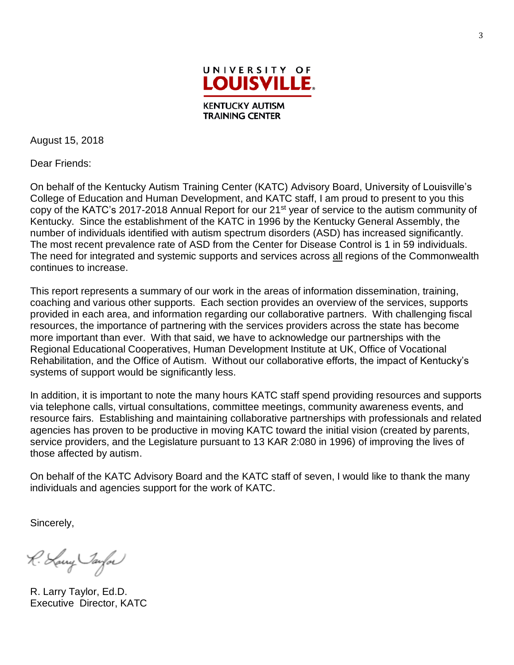

August 15, 2018

Dear Friends:

On behalf of the Kentucky Autism Training Center (KATC) Advisory Board, University of Louisville's College of Education and Human Development, and KATC staff, I am proud to present to you this copy of the KATC's 2017-2018 Annual Report for our 21<sup>st</sup> year of service to the autism community of Kentucky. Since the establishment of the KATC in 1996 by the Kentucky General Assembly, the number of individuals identified with autism spectrum disorders (ASD) has increased significantly. The most recent prevalence rate of ASD from the Center for Disease Control is 1 in 59 individuals. The need for integrated and systemic supports and services across all regions of the Commonwealth continues to increase.

This report represents a summary of our work in the areas of information dissemination, training, coaching and various other supports. Each section provides an overview of the services, supports provided in each area, and information regarding our collaborative partners. With challenging fiscal resources, the importance of partnering with the services providers across the state has become more important than ever. With that said, we have to acknowledge our partnerships with the Regional Educational Cooperatives, Human Development Institute at UK, Office of Vocational Rehabilitation, and the Office of Autism. Without our collaborative efforts, the impact of Kentucky's systems of support would be significantly less.

In addition, it is important to note the many hours KATC staff spend providing resources and supports via telephone calls, virtual consultations, committee meetings, community awareness events, and resource fairs. Establishing and maintaining collaborative partnerships with professionals and related agencies has proven to be productive in moving KATC toward the initial vision (created by parents, service providers, and the Legislature pursuant to 13 KAR 2:080 in 1996) of improving the lives of those affected by autism.

On behalf of the KATC Advisory Board and the KATC staff of seven, I would like to thank the many individuals and agencies support for the work of KATC.

Sincerely,

R. Lawy Jaylor

R. Larry Taylor, Ed.D. Executive Director, KATC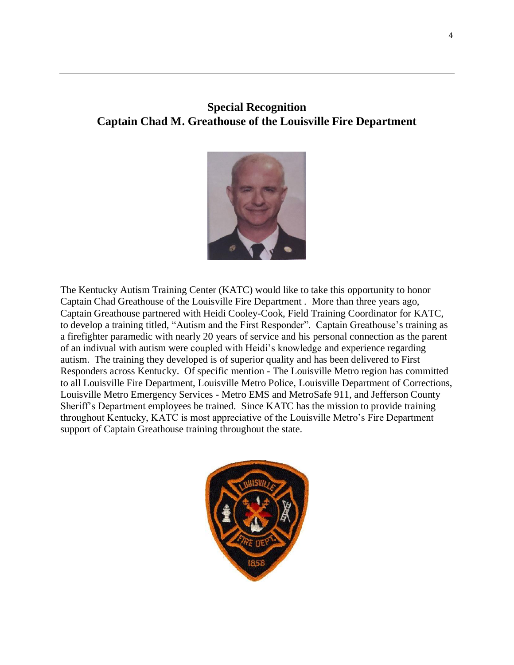# **Special Recognition Captain Chad M. Greathouse of the Louisville Fire Department**



The Kentucky Autism Training Center (KATC) would like to take this opportunity to honor Captain Chad Greathouse of the Louisville Fire Department . More than three years ago, Captain Greathouse partnered with Heidi Cooley-Cook, Field Training Coordinator for KATC, to develop a training titled, "Autism and the First Responder". Captain Greathouse's training as a firefighter paramedic with nearly 20 years of service and his personal connection as the parent of an indivual with autism were coupled with Heidi's knowledge and experience regarding autism. The training they developed is of superior quality and has been delivered to First Responders across Kentucky. Of specific mention - The Louisville Metro region has committed to all Louisville Fire Department, Louisville Metro Police, Louisville Department of Corrections, Louisville Metro Emergency Services - Metro EMS and MetroSafe 911, and Jefferson County Sheriff's Department employees be trained. Since KATC has the mission to provide training throughout Kentucky, KATC is most appreciative of the Louisville Metro's Fire Department support of Captain Greathouse training throughout the state.

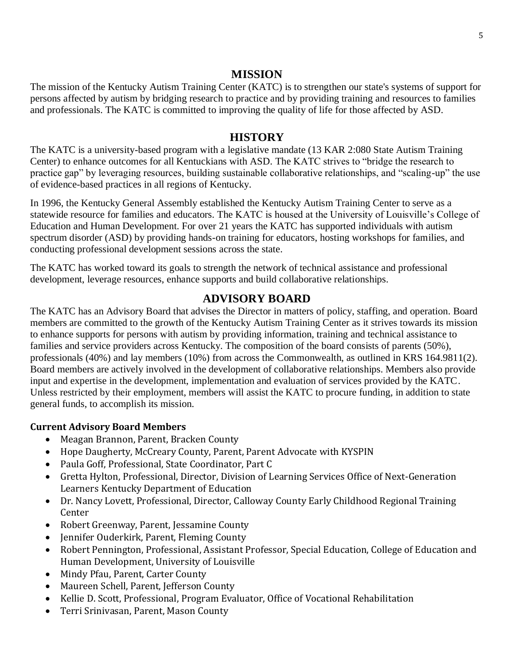#### **MISSION**

The mission of the Kentucky Autism Training Center (KATC) is to strengthen our state's systems of support for persons affected by autism by bridging research to practice and by providing training and resources to families and professionals. The KATC is committed to improving the quality of life for those affected by ASD.

#### **HISTORY**

The KATC is a university-based program with a legislative mandate (13 KAR 2:080 State Autism Training Center) to enhance outcomes for all Kentuckians with ASD. The KATC strives to "bridge the research to practice gap" by leveraging resources, building sustainable collaborative relationships, and "scaling-up" the use of evidence-based practices in all regions of Kentucky.

In 1996, the [Kentucky General Assembly](http://www.lrc.state.ky.us/kar/013/002/080.htm) established the Kentucky Autism Training Center to serve as a statewide resource for families and educators. The KATC is housed at the University of Louisville's College of Education and Human Development. For over 21 years the KATC has supported individuals with autism spectrum disorder (ASD) by providing hands-on training for educators, hosting workshops for families, and conducting professional development sessions across the state.

The KATC has worked toward its goals to strength the network of technical assistance and professional development, leverage resources, enhance supports and build collaborative relationships.

#### **ADVISORY BOARD**

The KATC has an Advisory Board that advises the Director in matters of policy, staffing, and operation. Board members are committed to the growth of the Kentucky Autism Training Center as it strives towards its mission to enhance supports for persons with autism by providing information, training and technical assistance to families and service providers across Kentucky. The composition of the board consists of parents (50%), professionals (40%) and lay members (10%) from across the Commonwealth, as outlined in KRS 164.9811(2). Board members are actively involved in the development of collaborative relationships. Members also provide input and expertise in the development, implementation and evaluation of services provided by the KATC. Unless restricted by their employment, members will assist the KATC to procure funding, in addition to state general funds, to accomplish its mission.

#### **Current Advisory Board Members**

- Meagan Brannon, Parent, Bracken County
- Hope Daugherty, McCreary County, Parent, Parent Advocate with KYSPIN
- [Paula Goff, Professional,](http://louisville.edu/education/kyautismtraining/about/advisory-board/paula-goff.html) State Coordinator, Part C
- [Gretta Hylton, Professional,](http://louisville.edu/education/kyautismtraining/about/advisory-board/johnny-w-collett.html) Director, Division of Learning Services Office of Next-Generation Learners Kentucky Department of Education
- Dr. Nancy Lovett, Professional, Director, Calloway County Early Childhood Regional Training Center
- Robert Greenway, Parent, Jessamine County
- Jennifer Ouderkirk, Parent, Fleming County
- Robert [Pennington, Professional,](http://louisville.edu/education/kyautismtraining/about/advisory-board/robert-pennington.html) Assistant Professor, Special Education, College of Education and Human Development, University of Louisville
- Mindy Pfau, Parent, Carter County
- Maureen Schell, Parent, Jefferson County
- [Kellie D. Scott, Professional,](http://louisville.edu/education/kyautismtraining/about/advisory-board/kellie-d-scott.html) Program Evaluator, Office of Vocational Rehabilitation
- [Terri Srinivasan, Parent,](http://louisville.edu/education/kyautismtraining/about/advisory-board/terri-srinivasan.html) Mason County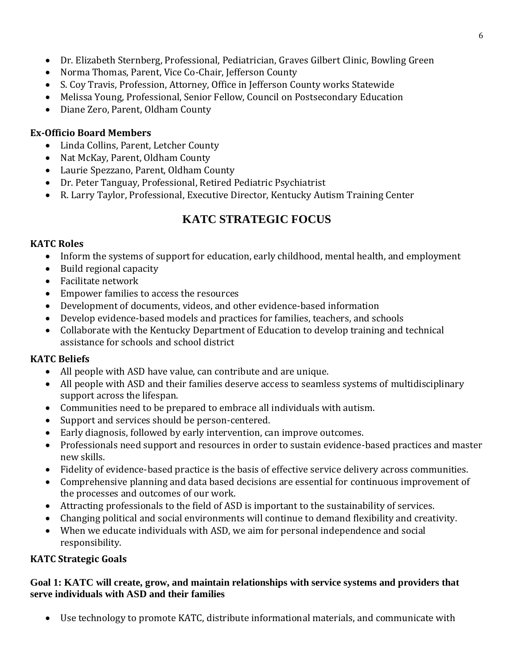- Dr. Elizabeth Sternberg, Professional, Pediatrician, Graves Gilbert Clinic, Bowling Green
- [Norma Thomas, Parent, Vice Co-Chair,](http://louisville.edu/education/kyautismtraining/about/advisory-board/thomas.html) Jefferson County
- S. Coy Travis, Profession, Attorney, Office in Jefferson County works Statewide
- [Melissa Young, Professional,](http://louisville.edu/education/kyautismtraining/about/advisory-board/linville.html) Senior Fellow, Council on Postsecondary Education
- [Diane Zero, Parent,](http://louisville.edu/education/kyautismtraining/about/advisory-board/cowne.html) Oldham County

#### **Ex-Officio Board Members**

- Linda Collins, Parent, Letcher County
- [Nat McKay, Parent,](http://louisville.edu/education/kyautismtraining/about/advisory-board/mckay.html) Oldham County
- [Laurie Spezzano, Parent,](http://louisville.edu/education/kyautismtraining/about/advisory-board/spezzano.html) Oldham County
- [Dr. Peter Tanguay, Professional,](http://louisville.edu/education/kyautismtraining/about/advisory-board/tanguay.html) Retired Pediatric Psychiatrist
- [R. Larry Taylor, Professional,](http://louisville.edu/education/kyautismtraining/about/advisory-board/taylor.html) Executive Director, Kentucky Autism Training Center

# **KATC STRATEGIC FOCUS**

#### **KATC Roles**

- Inform the systems of support for education, early childhood, mental health, and employment
- Build regional capacity
- Facilitate network
- Empower families to access the resources
- Development of documents, videos, and other evidence-based information
- Develop evidence-based models and practices for families, teachers, and schools
- Collaborate with the Kentucky Department of Education to develop training and technical assistance for schools and school district

#### **KATC Beliefs**

- All people with ASD have value, can contribute and are unique.
- All people with ASD and their families deserve access to seamless systems of multidisciplinary support across the lifespan.
- Communities need to be prepared to embrace all individuals with autism.
- Support and services should be person-centered.
- Early diagnosis, followed by early intervention, can improve outcomes.
- Professionals need support and resources in order to sustain evidence-based practices and master new skills.
- Fidelity of evidence-based practice is the basis of effective service delivery across communities.
- Comprehensive planning and data based decisions are essential for continuous improvement of the processes and outcomes of our work.
- Attracting professionals to the field of ASD is important to the sustainability of services.
- Changing political and social environments will continue to demand flexibility and creativity.
- When we educate individuals with ASD, we aim for personal independence and social responsibility.

#### **KATC Strategic Goals**

#### **Goal 1: KATC will create, grow, and maintain relationships with service systems and providers that serve individuals with ASD and their families**

• Use technology to promote KATC, distribute informational materials, and communicate with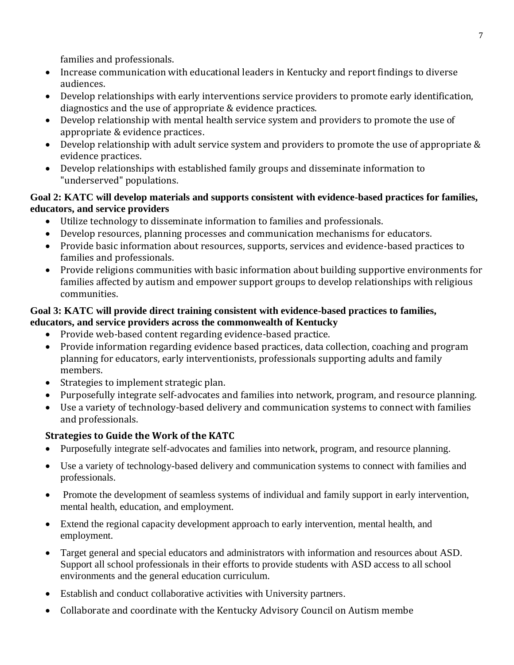families and professionals.

- Increase communication with educational leaders in Kentucky and report findings to diverse audiences.
- Develop relationships with early interventions service providers to promote early identification, diagnostics and the use of appropriate & evidence practices.
- Develop relationship with mental health service system and providers to promote the use of appropriate & evidence practices.
- Develop relationship with adult service system and providers to promote the use of appropriate & evidence practices.
- Develop relationships with established family groups and disseminate information to "underserved" populations.

#### **Goal 2: KATC will develop materials and supports consistent with evidence-based practices for families, educators, and service providers**

- Utilize technology to disseminate information to families and professionals.
- Develop resources, planning processes and communication mechanisms for educators.
- Provide basic information about resources, supports, services and evidence-based practices to families and professionals.
- Provide religions communities with basic information about building supportive environments for families affected by autism and empower support groups to develop relationships with religious communities.

#### **Goal 3: KATC will provide direct training consistent with evidence-based practices to families, educators, and service providers across the commonwealth of Kentucky**

- Provide web-based content regarding evidence-based practice.
- Provide information regarding evidence based practices, data collection, coaching and program planning for educators, early interventionists, professionals supporting adults and family members.
- Strategies to implement strategic plan.
- Purposefully integrate self-advocates and families into network, program, and resource planning.
- Use a variety of technology-based delivery and communication systems to connect with families and professionals.

## **Strategies to Guide the Work of the KATC**

- Purposefully integrate self-advocates and families into network, program, and resource planning.
- Use a variety of technology-based delivery and communication systems to connect with families and professionals.
- Promote the development of seamless systems of individual and family support in early intervention, mental health, education, and employment.
- Extend the regional capacity development approach to early intervention, mental health, and employment.
- Target general and special educators and administrators with information and resources about ASD. Support all school professionals in their efforts to provide students with ASD access to all school environments and the general education curriculum.
- Establish and conduct collaborative activities with University partners.
- Collaborate and coordinate with the Kentucky Advisory Council on Autism membe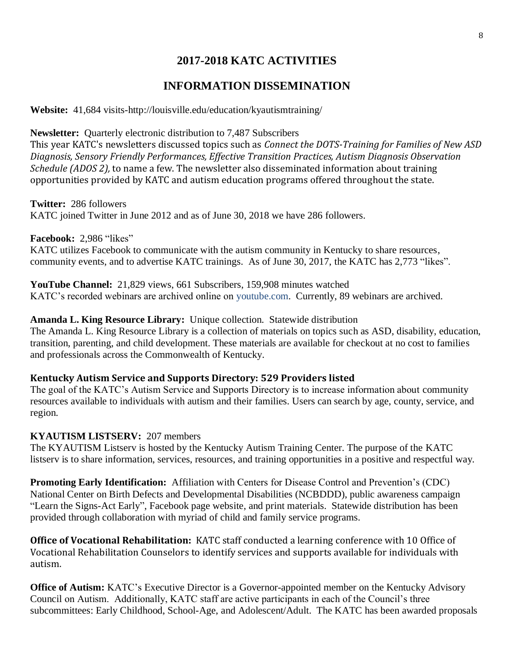# **2017-2018 KATC ACTIVITIES**

# **INFORMATION DISSEMINATION**

**Website:** 41,684 visits-http://louisville.edu/education/kyautismtraining/

**Newsletter:** Quarterly electronic distribution to 7,487 Subscribers This year KATC's newsletters discussed topics such as *Connect the DOTS-Training for Families of New ASD Diagnosis, Sensory Friendly Performances, Effective Transition Practices, Autism Diagnosis Observation Schedule (ADOS 2),* to name a few. The newsletter also disseminated information about training opportunities provided by KATC and autism education programs offered throughout the state.

**Twitter:** 286 followers KATC joined Twitter in June 2012 and as of June 30, 2018 we have 286 followers.

**Facebook:** 2,986 "likes"

KATC utilizes Facebook to communicate with the autism community in Kentucky to share resources, community events, and to advertise KATC trainings. As of June 30, 2017, the KATC has 2,773 "likes".

**YouTube Channel:** 21,829 views, 661 Subscribers, 159,908 minutes watched KATC's recorded webinars are archived online on youtube.com. Currently, 89 webinars are archived.

#### **Amanda L. King Resource Library:** Unique collection. Statewide distribution

The Amanda L. King Resource Library is a collection of materials on topics such as ASD, disability, education, transition, parenting, and child development. These materials are available for checkout at no cost to families and professionals across the Commonwealth of Kentucky.

#### **Kentucky Autism Service and Supports Directory: 529 Providers listed**

The goal of the KATC's Autism Service and Supports Directory is to increase information about community resources available to individuals with autism and their families. Users can search by age, county, service, and region.

#### **KYAUTISM LISTSERV:** 207 members

The KYAUTISM Listserv is hosted by the Kentucky Autism Training Center. The purpose of the KATC listserv is to share information, services, resources, and training opportunities in a positive and respectful way.

**Promoting Early Identification:** Affiliation with Centers for Disease Control and Prevention's (CDC) National Center on Birth Defects and Developmental Disabilities (NCBDDD), public awareness campaign "Learn the Signs-Act Early", Facebook page website, and print materials. Statewide distribution has been provided through collaboration with myriad of child and family service programs.

**Office of Vocational Rehabilitation:** KATC staff conducted a learning conference with 10 Office of Vocational Rehabilitation Counselors to identify services and supports available for individuals with autism.

**Office of Autism:** KATC's Executive Director is a Governor-appointed member on the Kentucky Advisory Council on Autism. Additionally, KATC staff are active participants in each of the Council's three subcommittees: Early Childhood, School-Age, and Adolescent/Adult. The KATC has been awarded proposals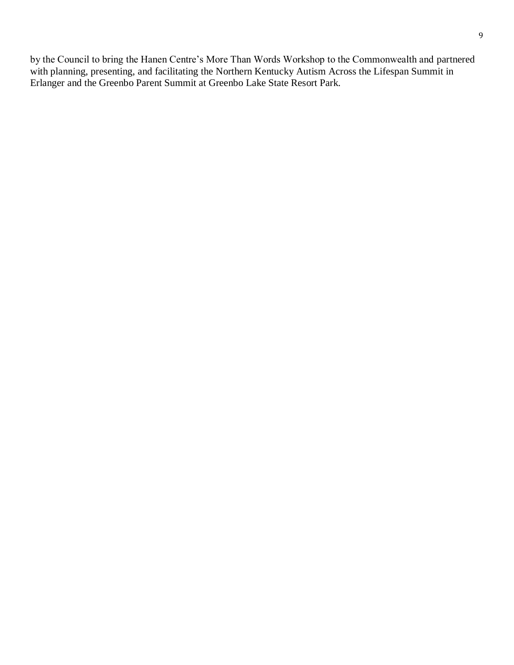by the Council to bring the Hanen Centre's More Than Words Workshop to the Commonwealth and partnered with planning, presenting, and facilitating the Northern Kentucky Autism Across the Lifespan Summit in Erlanger and the Greenbo Parent Summit at Greenbo Lake State Resort Park.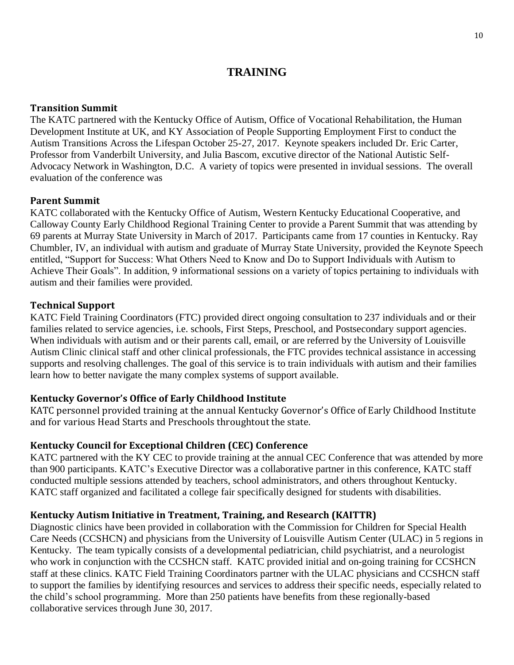## **TRAINING**

#### **Transition Summit**

The KATC partnered with the Kentucky Office of Autism, Office of Vocational Rehabilitation, the Human Development Institute at UK, and KY Association of People Supporting Employment First to conduct the Autism Transitions Across the Lifespan October 25-27, 2017. Keynote speakers included Dr. Eric Carter, Professor from Vanderbilt University, and Julia Bascom, excutive director of the National Autistic Self-Advocacy Network in Washington, D.C. A variety of topics were presented in invidual sessions. The overall evaluation of the conference was

#### **Parent Summit**

KATC collaborated with the Kentucky Office of Autism, Western Kentucky Educational Cooperative, and Calloway County Early Childhood Regional Training Center to provide a Parent Summit that was attending by 69 parents at Murray State University in March of 2017. Participants came from 17 counties in Kentucky. Ray Chumbler, IV, an individual with autism and graduate of Murray State University, provided the Keynote Speech entitled, "Support for Success: What Others Need to Know and Do to Support Individuals with Autism to Achieve Their Goals". In addition, 9 informational sessions on a variety of topics pertaining to individuals with autism and their families were provided.

#### **Technical Support**

KATC Field Training Coordinators (FTC) provided direct ongoing consultation to 237 individuals and or their families related to service agencies, i.e. schools, First Steps, Preschool, and Postsecondary support agencies. When individuals with autism and or their parents call, email, or are referred by the University of Louisville Autism Clinic clinical staff and other clinical professionals, the FTC provides technical assistance in accessing supports and resolving challenges. The goal of this service is to train individuals with autism and their families learn how to better navigate the many complex systems of support available.

#### **Kentucky Governor's Office of Early Childhood Institute**

KATC personnel provided training at the annual Kentucky Governor's Office of Early Childhood Institute and for various Head Starts and Preschools throughtout the state.

#### **Kentucky Council for Exceptional Children (CEC) Conference**

KATC partnered with the KY CEC to provide training at the annual CEC Conference that was attended by more than 900 participants. KATC's Executive Director was a collaborative partner in this conference, KATC staff conducted multiple sessions attended by teachers, school administrators, and others throughout Kentucky. KATC staff organized and facilitated a college fair specifically designed for students with disabilities.

#### **Kentucky Autism Initiative in Treatment, Training, and Research (KAITTR)**

Diagnostic clinics have been provided in collaboration with the Commission for Children for Special Health Care Needs (CCSHCN) and physicians from the University of Louisville Autism Center (ULAC) in 5 regions in Kentucky. The team typically consists of a developmental pediatrician, child psychiatrist, and a neurologist who work in conjunction with the CCSHCN staff. KATC provided initial and on-going training for CCSHCN staff at these clinics. KATC Field Training Coordinators partner with the ULAC physicians and CCSHCN staff to support the families by identifying resources and services to address their specific needs, especially related to the child's school programming. More than 250 patients have benefits from these regionally-based collaborative services through June 30, 2017.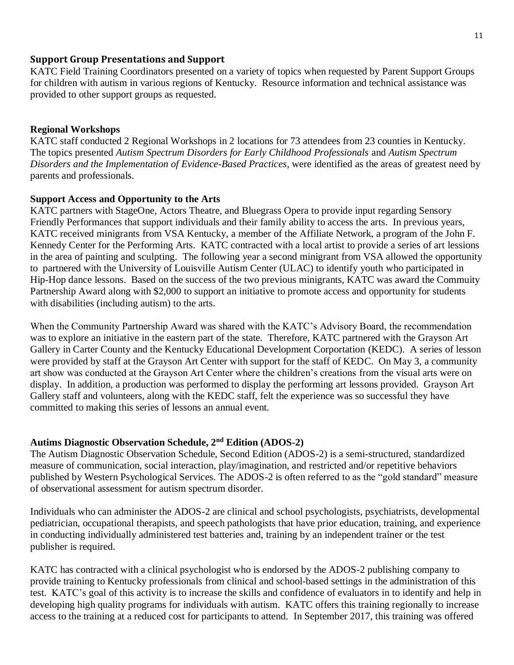#### **Support Group Presentations and Support**

KATC Field Training Coordinators presented on a variety of topics when requested by Parent Support Groups for children with autism in various regions of Kentucky. Resource information and technical assistance was provided to other support groups as requested.

#### **Regional Workshops**

KATC staff conducted 2 Regional Workshops in 2 locations for 73 attendees from 23 counties in Kentucky. The topics presented *Autism Spectrum Disorders for Early Childhood Professionals* and *Autism Spectrum Disorders and the Implementation of Evidence-Based Practices*, were identified as the areas of greatest need by parents and professionals.

#### **Support Access and Opportunity to the Arts**

KATC partners with StageOne, Actors Theatre, and Bluegrass Opera to provide input regarding Sensory Friendly Performances that support individuals and their family ability to access the arts. In previous years, KATC received minigrants from VSA Kentucky, a member of the Affiliate Network, a program of the John F. Kennedy Center for the Performing Arts. KATC contracted with a local artist to provide a series of art lessions in the area of painting and sculpting. The following year a second minigrant from VSA allowed the opportunity to partnered with the University of Louisville Autism Center (ULAC) to identify youth who participated in Hip-Hop dance lessons. Based on the success of the two previous minigrants, KATC was award the Commuity Partnership Award along with \$2,000 to support an initiative to promote access and opportunity for students with disabilities (including autism) to the arts.

When the Community Partnership Award was shared with the KATC's Advisory Board, the recommendation was to explore an initiative in the eastern part of the state. Therefore, KATC partnered with the Grayson Art Gallery in Carter County and the Kentucky Educational Development Corportation (KEDC). A series of lesson were provided by staff at the Grayson Art Center with support for the staff of KEDC. On May 3, a community art show was conducted at the Grayson Art Center where the children's creations from the visual arts were on display. In addition, a production was performed to display the performing art lessons provided. Grayson Art Gallery staff and volunteers, along with the KEDC staff, felt the experience was so successful they have committed to making this series of lessons an annual event.

#### **Autims Diagnostic Observation Schedule, 2nd Edition (ADOS-2)**

The Autism Diagnostic Observation Schedule, Second Edition (ADOS-2) is a semi-structured, standardized measure of communication, social interaction, play/imagination, and restricted and/or repetitive behaviors published by Western Psychological Services. The ADOS-2 is often referred to as the "gold standard" measure of observational assessment for autism spectrum disorder.

Individuals who can administer the ADOS-2 are clinical and school psychologists, psychiatrists, developmental pediatrician, occupational therapists, and speech pathologists that have prior education, training, and experience in conducting individually administered test batteries and, training by an independent trainer or the test publisher is required.

KATC has contracted with a clinical psychologist who is endorsed by the ADOS-2 publishing company to provide training to Kentucky professionals from clinical and school-based settings in the administration of this test. KATC's goal of this activity is to increase the skills and confidence of evaluators in to identify and help in developing high quality programs for individuals with autism. KATC offers this training regionally to increase access to the training at a reduced cost for participants to attend. In September 2017, this training was offered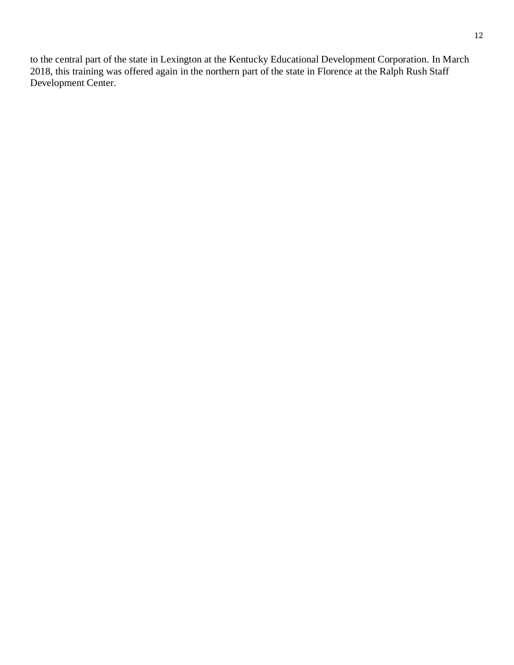to the central part of the state in Lexington at the Kentucky Educational Development Corporation. In March 2018, this training was offered again in the northern part of the state in Florence at the Ralph Rush Staff Development Center.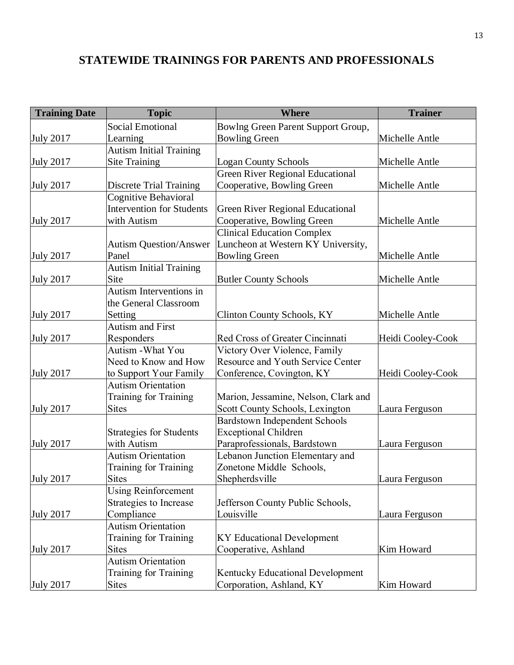# **STATEWIDE TRAININGS FOR PARENTS AND PROFESSIONALS**

| <b>Training Date</b> | <b>Topic</b>                     | <b>Where</b>                             | <b>Trainer</b>    |
|----------------------|----------------------------------|------------------------------------------|-------------------|
|                      | <b>Social Emotional</b>          | Bowlng Green Parent Support Group,       |                   |
| <b>July 2017</b>     | Learning                         | <b>Bowling Green</b>                     | Michelle Antle    |
|                      | <b>Autism Initial Training</b>   |                                          |                   |
| July 2017            | <b>Site Training</b>             | <b>Logan County Schools</b>              | Michelle Antle    |
|                      |                                  | <b>Green River Regional Educational</b>  |                   |
| <b>July 2017</b>     | <b>Discrete Trial Training</b>   | Cooperative, Bowling Green               | Michelle Antle    |
|                      | Cognitive Behavioral             |                                          |                   |
|                      | <b>Intervention for Students</b> | <b>Green River Regional Educational</b>  |                   |
| <b>July 2017</b>     | with Autism                      | Cooperative, Bowling Green               | Michelle Antle    |
|                      |                                  | <b>Clinical Education Complex</b>        |                   |
|                      | <b>Autism Question/Answer</b>    | Luncheon at Western KY University,       |                   |
| <b>July 2017</b>     | Panel                            | <b>Bowling Green</b>                     | Michelle Antle    |
|                      | <b>Autism Initial Training</b>   |                                          |                   |
| <b>July 2017</b>     | Site                             | <b>Butler County Schools</b>             | Michelle Antle    |
|                      | Autism Interventions in          |                                          |                   |
|                      | the General Classroom            |                                          |                   |
| <b>July 2017</b>     | Setting                          | <b>Clinton County Schools, KY</b>        | Michelle Antle    |
|                      | Autism and First                 |                                          |                   |
| <b>July 2017</b>     | Responders                       | Red Cross of Greater Cincinnati          | Heidi Cooley-Cook |
|                      | Autism - What You                | Victory Over Violence, Family            |                   |
|                      | Need to Know and How             | <b>Resource and Youth Service Center</b> |                   |
| <b>July 2017</b>     | to Support Your Family           | Conference, Covington, KY                | Heidi Cooley-Cook |
|                      | <b>Autism Orientation</b>        |                                          |                   |
|                      | Training for Training            | Marion, Jessamine, Nelson, Clark and     |                   |
| <b>July 2017</b>     | <b>Sites</b>                     | Scott County Schools, Lexington          | Laura Ferguson    |
|                      |                                  | <b>Bardstown Independent Schools</b>     |                   |
|                      | <b>Strategies for Students</b>   | <b>Exceptional Children</b>              |                   |
| <b>July 2017</b>     | with Autism                      | Paraprofessionals, Bardstown             | Laura Ferguson    |
|                      | <b>Autism Orientation</b>        | Lebanon Junction Elementary and          |                   |
|                      | Training for Training            | Zonetone Middle Schools,                 |                   |
| <b>July 2017</b>     | <b>Sites</b>                     | Shepherdsville                           | Laura Ferguson    |
|                      | <b>Using Reinforcement</b>       |                                          |                   |
|                      | Strategies to Increase           | Jefferson County Public Schools,         |                   |
| <b>July 2017</b>     | Compliance                       | Louisville                               | Laura Ferguson    |
|                      | <b>Autism Orientation</b>        |                                          |                   |
|                      | Training for Training            | <b>KY Educational Development</b>        |                   |
| <b>July 2017</b>     | <b>Sites</b>                     | Cooperative, Ashland                     | Kim Howard        |
|                      | <b>Autism Orientation</b>        |                                          |                   |
|                      | Training for Training            | <b>Kentucky Educational Development</b>  |                   |
| <b>July 2017</b>     | <b>Sites</b>                     | Corporation, Ashland, KY                 | Kim Howard        |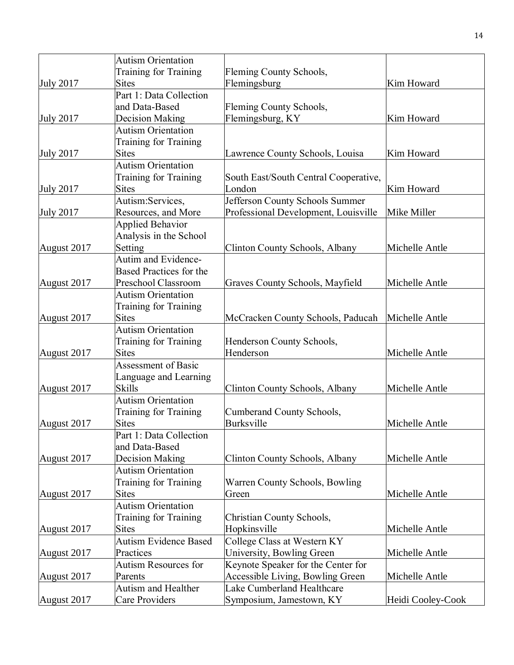|                  | <b>Autism Orientation</b>    |                                         |                   |
|------------------|------------------------------|-----------------------------------------|-------------------|
|                  | Training for Training        | Fleming County Schools,                 |                   |
| <b>July 2017</b> | <b>Sites</b>                 | Flemingsburg                            | Kim Howard        |
|                  | Part 1: Data Collection      |                                         |                   |
|                  | and Data-Based               | Fleming County Schools,                 |                   |
| <b>July 2017</b> | Decision Making              | Flemingsburg, KY                        | Kim Howard        |
|                  | <b>Autism Orientation</b>    |                                         |                   |
|                  | Training for Training        |                                         |                   |
| <b>July 2017</b> | <b>Sites</b>                 | <b>Lawrence County Schools, Louisa</b>  | Kim Howard        |
|                  | <b>Autism Orientation</b>    |                                         |                   |
|                  | Training for Training        | South East/South Central Cooperative,   |                   |
| <b>July 2017</b> | <b>Sites</b>                 | London                                  | Kim Howard        |
|                  | Autism:Services,             | Jefferson County Schools Summer         |                   |
| <b>July 2017</b> | Resources, and More          | Professional Development, Louisville    | Mike Miller       |
|                  | <b>Applied Behavior</b>      |                                         |                   |
|                  | Analysis in the School       |                                         |                   |
| August 2017      | Setting                      | Clinton County Schools, Albany          | Michelle Antle    |
|                  | Autim and Evidence-          |                                         |                   |
|                  | Based Practices for the      |                                         |                   |
| August 2017      | Preschool Classroom          | Graves County Schools, Mayfield         | Michelle Antle    |
|                  | <b>Autism Orientation</b>    |                                         |                   |
|                  | Training for Training        |                                         |                   |
| August 2017      | <b>Sites</b>                 | McCracken County Schools, Paducah       | Michelle Antle    |
|                  | <b>Autism Orientation</b>    |                                         |                   |
|                  | Training for Training        | Henderson County Schools,               |                   |
| August 2017      | <b>Sites</b>                 | Henderson                               | Michelle Antle    |
|                  | Assessment of Basic          |                                         |                   |
|                  | Language and Learning        |                                         |                   |
| August 2017      | <b>Skills</b>                | Clinton County Schools, Albany          | Michelle Antle    |
|                  | <b>Autism Orientation</b>    |                                         |                   |
|                  | Training for Training        | Cumberand County Schools,               |                   |
| August 2017      | <b>Sites</b>                 | Burksville                              | Michelle Antle    |
|                  | Part 1: Data Collection      |                                         |                   |
|                  | and Data-Based               |                                         |                   |
| August 2017      | Decision Making              | Clinton County Schools, Albany          | Michelle Antle    |
|                  | <b>Autism Orientation</b>    |                                         |                   |
|                  | Training for Training        | Warren County Schools, Bowling          |                   |
| August 2017      | <b>Sites</b>                 | Green                                   | Michelle Antle    |
|                  | <b>Autism Orientation</b>    |                                         |                   |
|                  | Training for Training        | Christian County Schools,               |                   |
| August 2017      | <b>Sites</b>                 | Hopkinsville                            | Michelle Antle    |
|                  | <b>Autism Evidence Based</b> | College Class at Western KY             |                   |
| August 2017      | Practices                    | University, Bowling Green               | Michelle Antle    |
|                  | Autism Resources for         | Keynote Speaker for the Center for      |                   |
| August 2017      | Parents                      | <b>Accessible Living, Bowling Green</b> | Michelle Antle    |
|                  | Autism and Healther          | Lake Cumberland Healthcare              |                   |
| August 2017      | Care Providers               | Symposium, Jamestown, KY                | Heidi Cooley-Cook |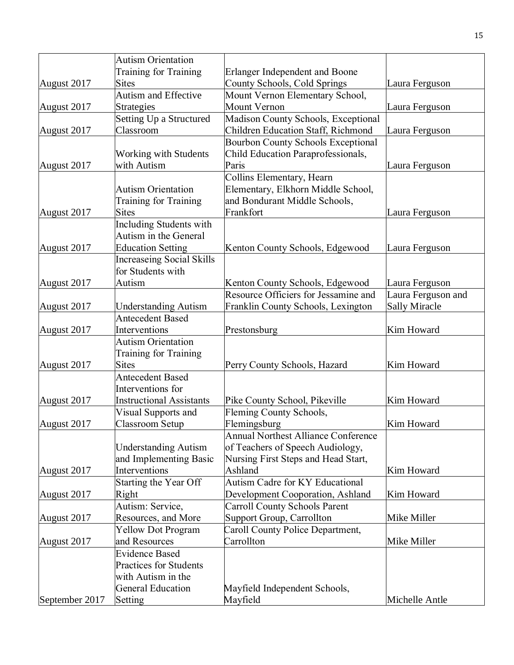|                | <b>Autism Orientation</b>        |                                            |                    |
|----------------|----------------------------------|--------------------------------------------|--------------------|
|                | Training for Training            | Erlanger Independent and Boone             |                    |
| August 2017    | <b>Sites</b>                     | County Schools, Cold Springs               | Laura Ferguson     |
|                | <b>Autism and Effective</b>      | Mount Vernon Elementary School,            |                    |
| August 2017    | <b>Strategies</b>                | Mount Vernon                               | Laura Ferguson     |
|                | Setting Up a Structured          | Madison County Schools, Exceptional        |                    |
| August 2017    | Classroom                        | Children Education Staff, Richmond         | Laura Ferguson     |
|                |                                  | <b>Bourbon County Schools Exceptional</b>  |                    |
|                | <b>Working with Students</b>     | Child Education Paraprofessionals,         |                    |
| August 2017    | with Autism                      | Paris                                      | Laura Ferguson     |
|                |                                  | Collins Elementary, Hearn                  |                    |
|                | <b>Autism Orientation</b>        | Elementary, Elkhorn Middle School,         |                    |
|                | Training for Training            | and Bondurant Middle Schools,              |                    |
| August 2017    | <b>Sites</b>                     | Frankfort                                  | Laura Ferguson     |
|                | Including Students with          |                                            |                    |
|                | Autism in the General            |                                            |                    |
| August 2017    | <b>Education Setting</b>         | Kenton County Schools, Edgewood            | Laura Ferguson     |
|                | <b>Increaseing Social Skills</b> |                                            |                    |
|                | for Students with                |                                            |                    |
| August 2017    | Autism                           | Kenton County Schools, Edgewood            | Laura Ferguson     |
|                |                                  | Resource Officiers for Jessamine and       | Laura Ferguson and |
| August 2017    | <b>Understanding Autism</b>      | Franklin County Schools, Lexington         | Sally Miracle      |
|                | <b>Antecedent Based</b>          |                                            |                    |
| August 2017    | Interventions                    | Prestonsburg                               | Kim Howard         |
|                | <b>Autism Orientation</b>        |                                            |                    |
|                | Training for Training            |                                            |                    |
| August 2017    | <b>Sites</b>                     | Perry County Schools, Hazard               | Kim Howard         |
|                | <b>Antecedent Based</b>          |                                            |                    |
|                | Interventions for                |                                            |                    |
| August 2017    | <b>Instructional Assistants</b>  | Pike County School, Pikeville              | Kim Howard         |
|                | Visual Supports and              | Fleming County Schools,                    |                    |
| August 2017    | <b>Classroom Setup</b>           | Flemingsburg                               | Kim Howard         |
|                |                                  | <b>Annual Northest Alliance Conference</b> |                    |
|                | <b>Understanding Autism</b>      | of Teachers of Speech Audiology,           |                    |
|                | and Implementing Basic           | Nursing First Steps and Head Start,        |                    |
| August 2017    | Interventions                    | Ashland                                    | Kim Howard         |
|                | Starting the Year Off            | <b>Autism Cadre for KY Educational</b>     |                    |
| August 2017    | Right                            | Development Cooporation, Ashland           | Kim Howard         |
|                | Autism: Service,                 | <b>Carroll County Schools Parent</b>       |                    |
| August 2017    | Resources, and More              | Support Group, Carrollton                  | Mike Miller        |
|                | <b>Yellow Dot Program</b>        | Caroll County Police Department,           |                    |
| August 2017    | and Resources                    | Carrollton                                 | Mike Miller        |
|                | <b>Evidence Based</b>            |                                            |                    |
|                | <b>Practices for Students</b>    |                                            |                    |
|                | with Autism in the               |                                            |                    |
|                | <b>General Education</b>         | Mayfield Independent Schools,              |                    |
| September 2017 | Setting                          | Mayfield                                   | Michelle Antle     |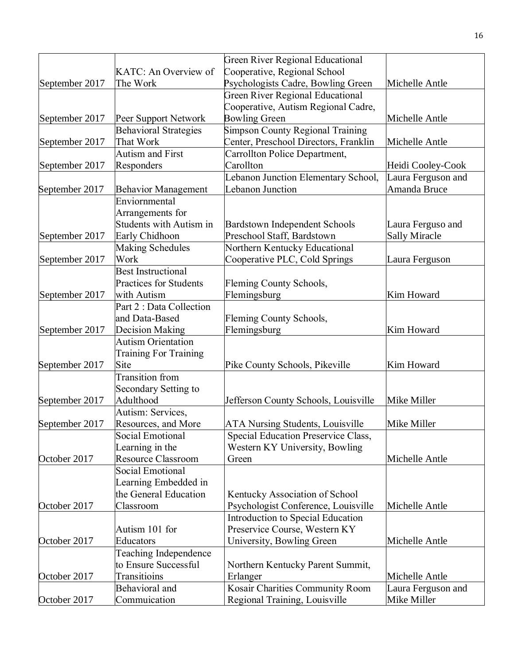| KATC: An Overview of<br>Cooperative, Regional School<br>Psychologists Cadre, Bowling Green<br>September 2017<br>The Work<br>Michelle Antle<br><b>Green River Regional Educational</b><br>Cooperative, Autism Regional Cadre,<br><b>Bowling Green</b><br>Michelle Antle<br>September 2017<br>Peer Support Network<br>Simpson County Regional Training<br><b>Behavioral Strategies</b><br>That Work<br>Center, Preschool Directors, Franklin<br>September 2017<br>Michelle Antle<br><b>Autism and First</b><br>Carrollton Police Department,<br>Carollton<br>September 2017<br>Responders<br>Heidi Cooley-Cook<br>Lebanon Junction Elementary School,<br>Laura Ferguson and<br>Lebanon Junction<br>Amanda Bruce<br>September 2017<br><b>Behavior Management</b><br>Enviornmental<br>Arrangements for<br><b>Students with Autism in</b><br><b>Bardstown Independent Schools</b><br>Laura Ferguso and<br>Preschool Staff, Bardstown<br>September 2017<br>Early Chidhoon<br><b>Sally Miracle</b><br><b>Making Schedules</b><br>Northern Kentucky Educational<br>September 2017<br>Work<br>Cooperative PLC, Cold Springs<br>Laura Ferguson<br><b>Best Instructional</b><br><b>Practices for Students</b><br>Fleming County Schools,<br>Flemingsburg<br>Kim Howard<br>September 2017<br>with Autism<br>Part 2 : Data Collection<br>and Data-Based<br>Fleming County Schools,<br>Flemingsburg<br>September 2017<br>Decision Making<br>Kim Howard<br><b>Autism Orientation</b><br><b>Training For Training</b><br>September 2017<br>Site<br>Pike County Schools, Pikeville<br>Kim Howard<br>Transition from<br>Secondary Setting to<br>Adulthood<br>Jefferson County Schools, Louisville<br>Mike Miller<br>Autism: Services,<br><b>ATA Nursing Students, Louisville</b><br>Mike Miller<br>Resources, and More<br>Social Emotional<br>Special Education Preservice Class,<br>Learning in the<br>Western KY University, Bowling<br><b>Resource Classroom</b><br>Michelle Antle<br>Green<br>Social Emotional<br>Learning Embedded in<br>the General Education<br>Kentucky Association of School<br>Classroom<br>Psychologist Conference, Louisville<br>Michelle Antle<br>Introduction to Special Education<br>Preservice Course, Western KY<br>Autism 101 for<br>University, Bowling Green<br>Michelle Antle<br>Educators<br>Teaching Independence<br>to Ensure Successful<br>Northern Kentucky Parent Summit,<br>Transitioins<br>Erlanger<br>Michelle Antle<br>Kosair Charities Community Room<br>Behavioral and<br>Laura Ferguson and |                |              | Green River Regional Educational |             |
|-----------------------------------------------------------------------------------------------------------------------------------------------------------------------------------------------------------------------------------------------------------------------------------------------------------------------------------------------------------------------------------------------------------------------------------------------------------------------------------------------------------------------------------------------------------------------------------------------------------------------------------------------------------------------------------------------------------------------------------------------------------------------------------------------------------------------------------------------------------------------------------------------------------------------------------------------------------------------------------------------------------------------------------------------------------------------------------------------------------------------------------------------------------------------------------------------------------------------------------------------------------------------------------------------------------------------------------------------------------------------------------------------------------------------------------------------------------------------------------------------------------------------------------------------------------------------------------------------------------------------------------------------------------------------------------------------------------------------------------------------------------------------------------------------------------------------------------------------------------------------------------------------------------------------------------------------------------------------------------------------------------------------------------------------------------------------------------------------------------------------------------------------------------------------------------------------------------------------------------------------------------------------------------------------------------------------------------------------------------------------------------------------------------------------------------------------------------------------------------------------------------------------------|----------------|--------------|----------------------------------|-------------|
|                                                                                                                                                                                                                                                                                                                                                                                                                                                                                                                                                                                                                                                                                                                                                                                                                                                                                                                                                                                                                                                                                                                                                                                                                                                                                                                                                                                                                                                                                                                                                                                                                                                                                                                                                                                                                                                                                                                                                                                                                                                                                                                                                                                                                                                                                                                                                                                                                                                                                                                             |                |              |                                  |             |
|                                                                                                                                                                                                                                                                                                                                                                                                                                                                                                                                                                                                                                                                                                                                                                                                                                                                                                                                                                                                                                                                                                                                                                                                                                                                                                                                                                                                                                                                                                                                                                                                                                                                                                                                                                                                                                                                                                                                                                                                                                                                                                                                                                                                                                                                                                                                                                                                                                                                                                                             |                |              |                                  |             |
|                                                                                                                                                                                                                                                                                                                                                                                                                                                                                                                                                                                                                                                                                                                                                                                                                                                                                                                                                                                                                                                                                                                                                                                                                                                                                                                                                                                                                                                                                                                                                                                                                                                                                                                                                                                                                                                                                                                                                                                                                                                                                                                                                                                                                                                                                                                                                                                                                                                                                                                             |                |              |                                  |             |
|                                                                                                                                                                                                                                                                                                                                                                                                                                                                                                                                                                                                                                                                                                                                                                                                                                                                                                                                                                                                                                                                                                                                                                                                                                                                                                                                                                                                                                                                                                                                                                                                                                                                                                                                                                                                                                                                                                                                                                                                                                                                                                                                                                                                                                                                                                                                                                                                                                                                                                                             |                |              |                                  |             |
|                                                                                                                                                                                                                                                                                                                                                                                                                                                                                                                                                                                                                                                                                                                                                                                                                                                                                                                                                                                                                                                                                                                                                                                                                                                                                                                                                                                                                                                                                                                                                                                                                                                                                                                                                                                                                                                                                                                                                                                                                                                                                                                                                                                                                                                                                                                                                                                                                                                                                                                             |                |              |                                  |             |
|                                                                                                                                                                                                                                                                                                                                                                                                                                                                                                                                                                                                                                                                                                                                                                                                                                                                                                                                                                                                                                                                                                                                                                                                                                                                                                                                                                                                                                                                                                                                                                                                                                                                                                                                                                                                                                                                                                                                                                                                                                                                                                                                                                                                                                                                                                                                                                                                                                                                                                                             |                |              |                                  |             |
|                                                                                                                                                                                                                                                                                                                                                                                                                                                                                                                                                                                                                                                                                                                                                                                                                                                                                                                                                                                                                                                                                                                                                                                                                                                                                                                                                                                                                                                                                                                                                                                                                                                                                                                                                                                                                                                                                                                                                                                                                                                                                                                                                                                                                                                                                                                                                                                                                                                                                                                             |                |              |                                  |             |
|                                                                                                                                                                                                                                                                                                                                                                                                                                                                                                                                                                                                                                                                                                                                                                                                                                                                                                                                                                                                                                                                                                                                                                                                                                                                                                                                                                                                                                                                                                                                                                                                                                                                                                                                                                                                                                                                                                                                                                                                                                                                                                                                                                                                                                                                                                                                                                                                                                                                                                                             |                |              |                                  |             |
|                                                                                                                                                                                                                                                                                                                                                                                                                                                                                                                                                                                                                                                                                                                                                                                                                                                                                                                                                                                                                                                                                                                                                                                                                                                                                                                                                                                                                                                                                                                                                                                                                                                                                                                                                                                                                                                                                                                                                                                                                                                                                                                                                                                                                                                                                                                                                                                                                                                                                                                             |                |              |                                  |             |
|                                                                                                                                                                                                                                                                                                                                                                                                                                                                                                                                                                                                                                                                                                                                                                                                                                                                                                                                                                                                                                                                                                                                                                                                                                                                                                                                                                                                                                                                                                                                                                                                                                                                                                                                                                                                                                                                                                                                                                                                                                                                                                                                                                                                                                                                                                                                                                                                                                                                                                                             |                |              |                                  |             |
|                                                                                                                                                                                                                                                                                                                                                                                                                                                                                                                                                                                                                                                                                                                                                                                                                                                                                                                                                                                                                                                                                                                                                                                                                                                                                                                                                                                                                                                                                                                                                                                                                                                                                                                                                                                                                                                                                                                                                                                                                                                                                                                                                                                                                                                                                                                                                                                                                                                                                                                             |                |              |                                  |             |
|                                                                                                                                                                                                                                                                                                                                                                                                                                                                                                                                                                                                                                                                                                                                                                                                                                                                                                                                                                                                                                                                                                                                                                                                                                                                                                                                                                                                                                                                                                                                                                                                                                                                                                                                                                                                                                                                                                                                                                                                                                                                                                                                                                                                                                                                                                                                                                                                                                                                                                                             |                |              |                                  |             |
|                                                                                                                                                                                                                                                                                                                                                                                                                                                                                                                                                                                                                                                                                                                                                                                                                                                                                                                                                                                                                                                                                                                                                                                                                                                                                                                                                                                                                                                                                                                                                                                                                                                                                                                                                                                                                                                                                                                                                                                                                                                                                                                                                                                                                                                                                                                                                                                                                                                                                                                             |                |              |                                  |             |
|                                                                                                                                                                                                                                                                                                                                                                                                                                                                                                                                                                                                                                                                                                                                                                                                                                                                                                                                                                                                                                                                                                                                                                                                                                                                                                                                                                                                                                                                                                                                                                                                                                                                                                                                                                                                                                                                                                                                                                                                                                                                                                                                                                                                                                                                                                                                                                                                                                                                                                                             |                |              |                                  |             |
|                                                                                                                                                                                                                                                                                                                                                                                                                                                                                                                                                                                                                                                                                                                                                                                                                                                                                                                                                                                                                                                                                                                                                                                                                                                                                                                                                                                                                                                                                                                                                                                                                                                                                                                                                                                                                                                                                                                                                                                                                                                                                                                                                                                                                                                                                                                                                                                                                                                                                                                             |                |              |                                  |             |
|                                                                                                                                                                                                                                                                                                                                                                                                                                                                                                                                                                                                                                                                                                                                                                                                                                                                                                                                                                                                                                                                                                                                                                                                                                                                                                                                                                                                                                                                                                                                                                                                                                                                                                                                                                                                                                                                                                                                                                                                                                                                                                                                                                                                                                                                                                                                                                                                                                                                                                                             |                |              |                                  |             |
|                                                                                                                                                                                                                                                                                                                                                                                                                                                                                                                                                                                                                                                                                                                                                                                                                                                                                                                                                                                                                                                                                                                                                                                                                                                                                                                                                                                                                                                                                                                                                                                                                                                                                                                                                                                                                                                                                                                                                                                                                                                                                                                                                                                                                                                                                                                                                                                                                                                                                                                             |                |              |                                  |             |
|                                                                                                                                                                                                                                                                                                                                                                                                                                                                                                                                                                                                                                                                                                                                                                                                                                                                                                                                                                                                                                                                                                                                                                                                                                                                                                                                                                                                                                                                                                                                                                                                                                                                                                                                                                                                                                                                                                                                                                                                                                                                                                                                                                                                                                                                                                                                                                                                                                                                                                                             |                |              |                                  |             |
|                                                                                                                                                                                                                                                                                                                                                                                                                                                                                                                                                                                                                                                                                                                                                                                                                                                                                                                                                                                                                                                                                                                                                                                                                                                                                                                                                                                                                                                                                                                                                                                                                                                                                                                                                                                                                                                                                                                                                                                                                                                                                                                                                                                                                                                                                                                                                                                                                                                                                                                             |                |              |                                  |             |
|                                                                                                                                                                                                                                                                                                                                                                                                                                                                                                                                                                                                                                                                                                                                                                                                                                                                                                                                                                                                                                                                                                                                                                                                                                                                                                                                                                                                                                                                                                                                                                                                                                                                                                                                                                                                                                                                                                                                                                                                                                                                                                                                                                                                                                                                                                                                                                                                                                                                                                                             |                |              |                                  |             |
|                                                                                                                                                                                                                                                                                                                                                                                                                                                                                                                                                                                                                                                                                                                                                                                                                                                                                                                                                                                                                                                                                                                                                                                                                                                                                                                                                                                                                                                                                                                                                                                                                                                                                                                                                                                                                                                                                                                                                                                                                                                                                                                                                                                                                                                                                                                                                                                                                                                                                                                             |                |              |                                  |             |
|                                                                                                                                                                                                                                                                                                                                                                                                                                                                                                                                                                                                                                                                                                                                                                                                                                                                                                                                                                                                                                                                                                                                                                                                                                                                                                                                                                                                                                                                                                                                                                                                                                                                                                                                                                                                                                                                                                                                                                                                                                                                                                                                                                                                                                                                                                                                                                                                                                                                                                                             |                |              |                                  |             |
|                                                                                                                                                                                                                                                                                                                                                                                                                                                                                                                                                                                                                                                                                                                                                                                                                                                                                                                                                                                                                                                                                                                                                                                                                                                                                                                                                                                                                                                                                                                                                                                                                                                                                                                                                                                                                                                                                                                                                                                                                                                                                                                                                                                                                                                                                                                                                                                                                                                                                                                             |                |              |                                  |             |
|                                                                                                                                                                                                                                                                                                                                                                                                                                                                                                                                                                                                                                                                                                                                                                                                                                                                                                                                                                                                                                                                                                                                                                                                                                                                                                                                                                                                                                                                                                                                                                                                                                                                                                                                                                                                                                                                                                                                                                                                                                                                                                                                                                                                                                                                                                                                                                                                                                                                                                                             |                |              |                                  |             |
|                                                                                                                                                                                                                                                                                                                                                                                                                                                                                                                                                                                                                                                                                                                                                                                                                                                                                                                                                                                                                                                                                                                                                                                                                                                                                                                                                                                                                                                                                                                                                                                                                                                                                                                                                                                                                                                                                                                                                                                                                                                                                                                                                                                                                                                                                                                                                                                                                                                                                                                             |                |              |                                  |             |
|                                                                                                                                                                                                                                                                                                                                                                                                                                                                                                                                                                                                                                                                                                                                                                                                                                                                                                                                                                                                                                                                                                                                                                                                                                                                                                                                                                                                                                                                                                                                                                                                                                                                                                                                                                                                                                                                                                                                                                                                                                                                                                                                                                                                                                                                                                                                                                                                                                                                                                                             |                |              |                                  |             |
|                                                                                                                                                                                                                                                                                                                                                                                                                                                                                                                                                                                                                                                                                                                                                                                                                                                                                                                                                                                                                                                                                                                                                                                                                                                                                                                                                                                                                                                                                                                                                                                                                                                                                                                                                                                                                                                                                                                                                                                                                                                                                                                                                                                                                                                                                                                                                                                                                                                                                                                             |                |              |                                  |             |
|                                                                                                                                                                                                                                                                                                                                                                                                                                                                                                                                                                                                                                                                                                                                                                                                                                                                                                                                                                                                                                                                                                                                                                                                                                                                                                                                                                                                                                                                                                                                                                                                                                                                                                                                                                                                                                                                                                                                                                                                                                                                                                                                                                                                                                                                                                                                                                                                                                                                                                                             |                |              |                                  |             |
|                                                                                                                                                                                                                                                                                                                                                                                                                                                                                                                                                                                                                                                                                                                                                                                                                                                                                                                                                                                                                                                                                                                                                                                                                                                                                                                                                                                                                                                                                                                                                                                                                                                                                                                                                                                                                                                                                                                                                                                                                                                                                                                                                                                                                                                                                                                                                                                                                                                                                                                             |                |              |                                  |             |
|                                                                                                                                                                                                                                                                                                                                                                                                                                                                                                                                                                                                                                                                                                                                                                                                                                                                                                                                                                                                                                                                                                                                                                                                                                                                                                                                                                                                                                                                                                                                                                                                                                                                                                                                                                                                                                                                                                                                                                                                                                                                                                                                                                                                                                                                                                                                                                                                                                                                                                                             | September 2017 |              |                                  |             |
|                                                                                                                                                                                                                                                                                                                                                                                                                                                                                                                                                                                                                                                                                                                                                                                                                                                                                                                                                                                                                                                                                                                                                                                                                                                                                                                                                                                                                                                                                                                                                                                                                                                                                                                                                                                                                                                                                                                                                                                                                                                                                                                                                                                                                                                                                                                                                                                                                                                                                                                             |                |              |                                  |             |
|                                                                                                                                                                                                                                                                                                                                                                                                                                                                                                                                                                                                                                                                                                                                                                                                                                                                                                                                                                                                                                                                                                                                                                                                                                                                                                                                                                                                                                                                                                                                                                                                                                                                                                                                                                                                                                                                                                                                                                                                                                                                                                                                                                                                                                                                                                                                                                                                                                                                                                                             | September 2017 |              |                                  |             |
|                                                                                                                                                                                                                                                                                                                                                                                                                                                                                                                                                                                                                                                                                                                                                                                                                                                                                                                                                                                                                                                                                                                                                                                                                                                                                                                                                                                                                                                                                                                                                                                                                                                                                                                                                                                                                                                                                                                                                                                                                                                                                                                                                                                                                                                                                                                                                                                                                                                                                                                             |                |              |                                  |             |
|                                                                                                                                                                                                                                                                                                                                                                                                                                                                                                                                                                                                                                                                                                                                                                                                                                                                                                                                                                                                                                                                                                                                                                                                                                                                                                                                                                                                                                                                                                                                                                                                                                                                                                                                                                                                                                                                                                                                                                                                                                                                                                                                                                                                                                                                                                                                                                                                                                                                                                                             |                |              |                                  |             |
|                                                                                                                                                                                                                                                                                                                                                                                                                                                                                                                                                                                                                                                                                                                                                                                                                                                                                                                                                                                                                                                                                                                                                                                                                                                                                                                                                                                                                                                                                                                                                                                                                                                                                                                                                                                                                                                                                                                                                                                                                                                                                                                                                                                                                                                                                                                                                                                                                                                                                                                             | October 2017   |              |                                  |             |
|                                                                                                                                                                                                                                                                                                                                                                                                                                                                                                                                                                                                                                                                                                                                                                                                                                                                                                                                                                                                                                                                                                                                                                                                                                                                                                                                                                                                                                                                                                                                                                                                                                                                                                                                                                                                                                                                                                                                                                                                                                                                                                                                                                                                                                                                                                                                                                                                                                                                                                                             |                |              |                                  |             |
|                                                                                                                                                                                                                                                                                                                                                                                                                                                                                                                                                                                                                                                                                                                                                                                                                                                                                                                                                                                                                                                                                                                                                                                                                                                                                                                                                                                                                                                                                                                                                                                                                                                                                                                                                                                                                                                                                                                                                                                                                                                                                                                                                                                                                                                                                                                                                                                                                                                                                                                             |                |              |                                  |             |
|                                                                                                                                                                                                                                                                                                                                                                                                                                                                                                                                                                                                                                                                                                                                                                                                                                                                                                                                                                                                                                                                                                                                                                                                                                                                                                                                                                                                                                                                                                                                                                                                                                                                                                                                                                                                                                                                                                                                                                                                                                                                                                                                                                                                                                                                                                                                                                                                                                                                                                                             |                |              |                                  |             |
|                                                                                                                                                                                                                                                                                                                                                                                                                                                                                                                                                                                                                                                                                                                                                                                                                                                                                                                                                                                                                                                                                                                                                                                                                                                                                                                                                                                                                                                                                                                                                                                                                                                                                                                                                                                                                                                                                                                                                                                                                                                                                                                                                                                                                                                                                                                                                                                                                                                                                                                             | October 2017   |              |                                  |             |
|                                                                                                                                                                                                                                                                                                                                                                                                                                                                                                                                                                                                                                                                                                                                                                                                                                                                                                                                                                                                                                                                                                                                                                                                                                                                                                                                                                                                                                                                                                                                                                                                                                                                                                                                                                                                                                                                                                                                                                                                                                                                                                                                                                                                                                                                                                                                                                                                                                                                                                                             |                |              |                                  |             |
|                                                                                                                                                                                                                                                                                                                                                                                                                                                                                                                                                                                                                                                                                                                                                                                                                                                                                                                                                                                                                                                                                                                                                                                                                                                                                                                                                                                                                                                                                                                                                                                                                                                                                                                                                                                                                                                                                                                                                                                                                                                                                                                                                                                                                                                                                                                                                                                                                                                                                                                             |                |              |                                  |             |
|                                                                                                                                                                                                                                                                                                                                                                                                                                                                                                                                                                                                                                                                                                                                                                                                                                                                                                                                                                                                                                                                                                                                                                                                                                                                                                                                                                                                                                                                                                                                                                                                                                                                                                                                                                                                                                                                                                                                                                                                                                                                                                                                                                                                                                                                                                                                                                                                                                                                                                                             | October 2017   |              |                                  |             |
|                                                                                                                                                                                                                                                                                                                                                                                                                                                                                                                                                                                                                                                                                                                                                                                                                                                                                                                                                                                                                                                                                                                                                                                                                                                                                                                                                                                                                                                                                                                                                                                                                                                                                                                                                                                                                                                                                                                                                                                                                                                                                                                                                                                                                                                                                                                                                                                                                                                                                                                             |                |              |                                  |             |
|                                                                                                                                                                                                                                                                                                                                                                                                                                                                                                                                                                                                                                                                                                                                                                                                                                                                                                                                                                                                                                                                                                                                                                                                                                                                                                                                                                                                                                                                                                                                                                                                                                                                                                                                                                                                                                                                                                                                                                                                                                                                                                                                                                                                                                                                                                                                                                                                                                                                                                                             |                |              |                                  |             |
|                                                                                                                                                                                                                                                                                                                                                                                                                                                                                                                                                                                                                                                                                                                                                                                                                                                                                                                                                                                                                                                                                                                                                                                                                                                                                                                                                                                                                                                                                                                                                                                                                                                                                                                                                                                                                                                                                                                                                                                                                                                                                                                                                                                                                                                                                                                                                                                                                                                                                                                             | October 2017   |              |                                  |             |
|                                                                                                                                                                                                                                                                                                                                                                                                                                                                                                                                                                                                                                                                                                                                                                                                                                                                                                                                                                                                                                                                                                                                                                                                                                                                                                                                                                                                                                                                                                                                                                                                                                                                                                                                                                                                                                                                                                                                                                                                                                                                                                                                                                                                                                                                                                                                                                                                                                                                                                                             |                |              |                                  |             |
|                                                                                                                                                                                                                                                                                                                                                                                                                                                                                                                                                                                                                                                                                                                                                                                                                                                                                                                                                                                                                                                                                                                                                                                                                                                                                                                                                                                                                                                                                                                                                                                                                                                                                                                                                                                                                                                                                                                                                                                                                                                                                                                                                                                                                                                                                                                                                                                                                                                                                                                             | October 2017   | Commuication | Regional Training, Louisville    | Mike Miller |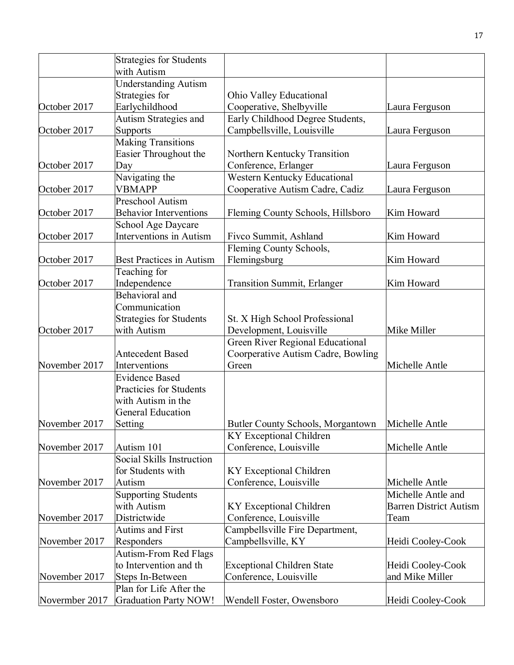|                | <b>Strategies for Students</b>                  |                                    |                               |
|----------------|-------------------------------------------------|------------------------------------|-------------------------------|
|                | with Autism                                     |                                    |                               |
|                | <b>Understanding Autism</b>                     |                                    |                               |
|                | Strategies for                                  | Ohio Valley Educational            |                               |
| October 2017   | Earlychildhood                                  | Cooperative, Shelbyville           | Laura Ferguson                |
|                | Autism Strategies and                           | Early Childhood Degree Students,   |                               |
| October 2017   | Supports                                        | Campbellsville, Louisville         | Laura Ferguson                |
|                | <b>Making Transitions</b>                       |                                    |                               |
|                | Easier Throughout the                           | Northern Kentucky Transition       |                               |
| October 2017   | Day                                             | Conference, Erlanger               | Laura Ferguson                |
|                | Navigating the                                  | Western Kentucky Educational       |                               |
| October 2017   | <b>VBMAPP</b>                                   | Cooperative Autism Cadre, Cadiz    | Laura Ferguson                |
|                | Preschool Autism                                |                                    |                               |
| October 2017   | <b>Behavior Interventions</b>                   | Fleming County Schools, Hillsboro  | Kim Howard                    |
|                | School Age Daycare                              |                                    |                               |
| October 2017   | Interventions in Autism                         | Fivco Summit, Ashland              | Kim Howard                    |
|                |                                                 | Fleming County Schools,            |                               |
| October 2017   | <b>Best Practices in Autism</b>                 | Flemingsburg                       | Kim Howard                    |
|                | Teaching for                                    |                                    |                               |
| October 2017   | Independence                                    | <b>Transition Summit, Erlanger</b> | Kim Howard                    |
|                | Behavioral and                                  |                                    |                               |
|                | Communication                                   |                                    |                               |
|                | <b>Strategies for Students</b>                  | St. X High School Professional     |                               |
| October 2017   | with Autism                                     | Development, Louisville            | Mike Miller                   |
|                |                                                 | Green River Regional Educational   |                               |
|                | <b>Antecedent Based</b>                         | Coorperative Autism Cadre, Bowling |                               |
| November 2017  | Interventions                                   | Green                              | Michelle Antle                |
|                | <b>Evidence Based</b>                           |                                    |                               |
|                | Practicies for Students                         |                                    |                               |
|                | with Autism in the                              |                                    |                               |
|                | <b>General Education</b>                        |                                    |                               |
| November 2017  | Setting                                         | Butler County Schools, Morgantown  | Michelle Antle                |
|                |                                                 | KY Exceptional Children            |                               |
| November 2017  | Autism 101                                      | Conference, Louisville             | Michelle Antle                |
|                | Social Skills Instruction                       |                                    |                               |
| November 2017  | for Students with                               | KY Exceptional Children            | Michelle Antle                |
|                | Autism                                          | Conference, Louisville             |                               |
|                | <b>Supporting Students</b>                      |                                    | Michelle Antle and            |
|                | with Autism                                     | KY Exceptional Children            | <b>Barren District Autism</b> |
| November 2017  | Districtwide<br><b>Autims and First</b>         | Conference, Louisville             | Team                          |
|                |                                                 | Campbellsville Fire Department,    |                               |
| November 2017  | Responders                                      | Campbellsville, KY                 | Heidi Cooley-Cook             |
|                | Autism-From Red Flags<br>to Intervention and th |                                    |                               |
|                |                                                 | <b>Exceptional Children State</b>  | Heidi Cooley-Cook             |
| November 2017  | Steps In-Between<br>Plan for Life After the     | Conference, Louisville             | and Mike Miller               |
|                |                                                 |                                    |                               |
| Novermber 2017 | <b>Graduation Party NOW!</b>                    | Wendell Foster, Owensboro          | Heidi Cooley-Cook             |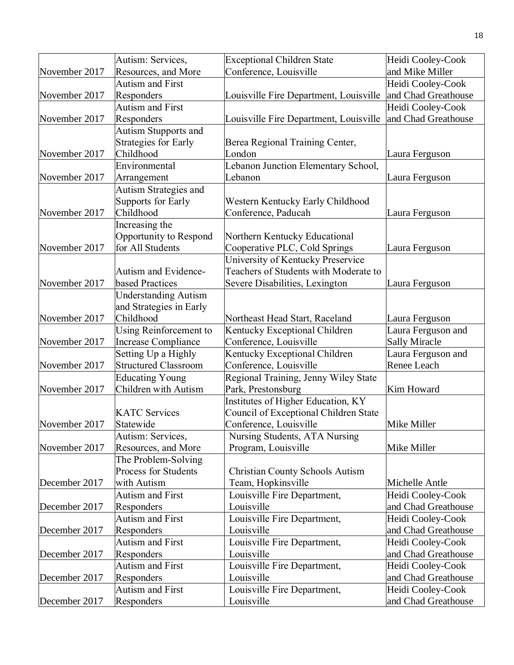|               | Autism: Services,                              | <b>Exceptional Children State</b>                               | Heidi Cooley-Cook    |
|---------------|------------------------------------------------|-----------------------------------------------------------------|----------------------|
| November 2017 | Resources, and More                            | Conference, Louisville                                          | and Mike Miller      |
|               | <b>Autism and First</b>                        |                                                                 | Heidi Cooley-Cook    |
| November 2017 | Responders                                     | Louisville Fire Department, Louisville                          | and Chad Greathouse  |
|               | Autism and First                               |                                                                 | Heidi Cooley-Cook    |
| November 2017 | Responders                                     | Louisville Fire Department, Louisville                          | and Chad Greathouse  |
|               | Autism Stupports and                           |                                                                 |                      |
|               | <b>Strategies for Early</b>                    | Berea Regional Training Center,                                 |                      |
| November 2017 | Childhood                                      | London                                                          | Laura Ferguson       |
|               | Environmental                                  | Lebanon Junction Elementary School,                             |                      |
| November 2017 | Arrangement                                    | Lebanon                                                         | Laura Ferguson       |
|               | <b>Autism Strategies and</b>                   |                                                                 |                      |
|               | <b>Supports for Early</b>                      | Western Kentucky Early Childhood                                |                      |
| November 2017 | Childhood                                      | Conference, Paducah                                             | Laura Ferguson       |
|               | Increasing the                                 |                                                                 |                      |
|               | Opportunity to Respond                         | Northern Kentucky Educational                                   |                      |
| November 2017 | for All Students                               | Cooperative PLC, Cold Springs                                   | Laura Ferguson       |
|               |                                                | University of Kentucky Preservice                               |                      |
|               | Autism and Evidence-                           | Teachers of Students with Moderate to                           |                      |
| November 2017 | based Practices                                | Severe Disabilities, Lexington                                  | Laura Ferguson       |
|               | <b>Understanding Autism</b>                    |                                                                 |                      |
|               | and Strategies in Early                        |                                                                 |                      |
| November 2017 | Childhood                                      | Northeast Head Start, Raceland                                  | Laura Ferguson       |
|               | Using Reinforcement to                         | Kentucky Exceptional Children                                   | Laura Ferguson and   |
| November 2017 | Increase Compliance                            | Conference, Louisville                                          | <b>Sally Miracle</b> |
|               | Setting Up a Highly                            | Kentucky Exceptional Children                                   | Laura Ferguson and   |
| November 2017 | <b>Structured Classroom</b>                    | Conference, Louisville                                          | Renee Leach          |
|               | <b>Educating Young</b><br>Children with Autism | Regional Training, Jenny Wiley State                            | <b>Kim Howard</b>    |
| November 2017 |                                                | Park, Prestonsburg                                              |                      |
|               | <b>KATC Services</b>                           | Institutes of Higher Education, KY                              |                      |
| November 2017 | Statewide                                      | Council of Exceptional Children State<br>Conference, Louisville | Mike Miller          |
|               | Autism: Services,                              | Nursing Students, ATA Nursing                                   |                      |
| November 2017 | Resources, and More                            | Program, Louisville                                             | Mike Miller          |
|               | The Problem-Solving                            |                                                                 |                      |
|               | Process for Students                           | <b>Christian County Schools Autism</b>                          |                      |
| December 2017 | with Autism                                    | Team, Hopkinsville                                              | Michelle Antle       |
|               | Autism and First                               | Louisville Fire Department,                                     | Heidi Cooley-Cook    |
| December 2017 | Responders                                     | Louisville                                                      | and Chad Greathouse  |
|               | <b>Autism and First</b>                        | Louisville Fire Department,                                     | Heidi Cooley-Cook    |
| December 2017 | Responders                                     | Louisville                                                      | and Chad Greathouse  |
|               | <b>Autism and First</b>                        | Louisville Fire Department,                                     | Heidi Cooley-Cook    |
| December 2017 | Responders                                     | Louisville                                                      | and Chad Greathouse  |
|               | <b>Autism and First</b>                        | Louisville Fire Department,                                     | Heidi Cooley-Cook    |
| December 2017 | Responders                                     | Louisville                                                      | and Chad Greathouse  |
|               | <b>Autism and First</b>                        | Louisville Fire Department,                                     | Heidi Cooley-Cook    |
| December 2017 | Responders                                     | Louisville                                                      | and Chad Greathouse  |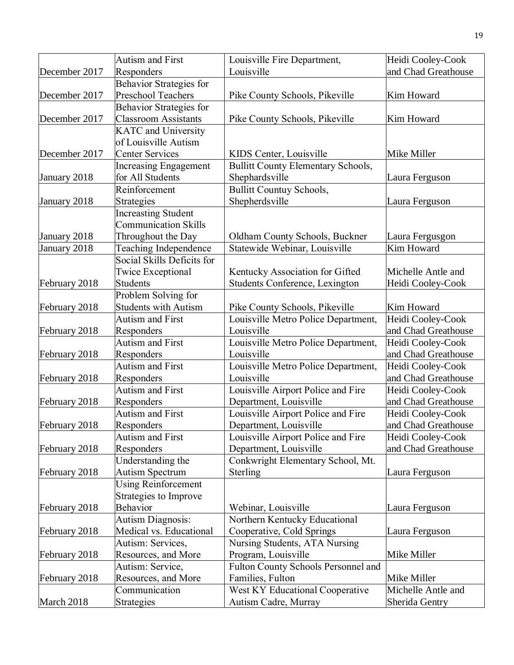|               | <b>Autism and First</b>               | Louisville Fire Department,                                  | Heidi Cooley-Cook                        |
|---------------|---------------------------------------|--------------------------------------------------------------|------------------------------------------|
| December 2017 | Responders                            | Louisville                                                   | and Chad Greathouse                      |
|               | <b>Behavior Strategies for</b>        |                                                              |                                          |
| December 2017 | Preschool Teachers                    | Pike County Schools, Pikeville                               | Kim Howard                               |
|               | Behavior Strategies for               |                                                              |                                          |
| December 2017 | <b>Classroom Assistants</b>           | Pike County Schools, Pikeville                               | Kim Howard                               |
|               | <b>KATC</b> and University            |                                                              |                                          |
|               | of Louisville Autism                  |                                                              |                                          |
| December 2017 | <b>Center Services</b>                | KIDS Center, Louisville                                      | Mike Miller                              |
|               | <b>Increasing Engagement</b>          | <b>Bullitt County Elementary Schools,</b>                    |                                          |
| January 2018  | for All Students                      | Shephardsville                                               | Laura Ferguson                           |
|               | Reinforcement                         | <b>Bullitt Countuy Schools,</b>                              |                                          |
| January 2018  | Strategies                            | Shepherdsville                                               | Laura Ferguson                           |
|               | <b>Increasting Student</b>            |                                                              |                                          |
|               | <b>Communication Skills</b>           |                                                              |                                          |
| January 2018  | Throughout the Day                    | Oldham County Schools, Buckner                               | Laura Fergusgon                          |
| January 2018  | Teaching Independence                 | Statewide Webinar, Louisville                                | Kim Howard                               |
|               | Social Skills Deficits for            |                                                              |                                          |
|               | <b>Twice Exceptional</b>              | Kentucky Association for Gifted                              | Michelle Antle and                       |
| February 2018 | Students                              | Students Conference, Lexington                               | Heidi Cooley-Cook                        |
|               | Problem Solving for                   |                                                              |                                          |
| February 2018 | <b>Students with Autism</b>           | Pike County Schools, Pikeville                               | Kim Howard                               |
|               | Autism and First                      | Louisville Metro Police Department,                          | Heidi Cooley-Cook                        |
| February 2018 | Responders                            | Louisville                                                   | and Chad Greathouse                      |
|               | <b>Autism and First</b>               | Louisville Metro Police Department,                          | Heidi Cooley-Cook                        |
| February 2018 | Responders                            | Louisville                                                   | and Chad Greathouse                      |
|               | <b>Autism and First</b>               | Louisville Metro Police Department,                          | Heidi Cooley-Cook                        |
| February 2018 | Responders                            | Louisville                                                   | and Chad Greathouse                      |
|               | Autism and First                      | Louisville Airport Police and Fire                           | Heidi Cooley-Cook                        |
| February 2018 | Responders<br><b>Autism and First</b> | Department, Louisville                                       | and Chad Greathouse                      |
| February 2018 | Responders                            | Louisville Airport Police and Fire<br>Department, Louisville | Heidi Cooley-Cook<br>and Chad Greathouse |
|               | <b>Autism and First</b>               | Louisville Airport Police and Fire                           | Heidi Cooley-Cook                        |
| February 2018 | Responders                            | Department, Louisville                                       | and Chad Greathouse                      |
|               | Understanding the                     | Conkwright Elementary School, Mt.                            |                                          |
| February 2018 | <b>Autism Spectrum</b>                | Sterling                                                     | Laura Ferguson                           |
|               | <b>Using Reinforcement</b>            |                                                              |                                          |
|               | Strategies to Improve                 |                                                              |                                          |
| February 2018 | Behavior                              | Webinar, Louisville                                          | Laura Ferguson                           |
|               | <b>Autism Diagnosis:</b>              | Northern Kentucky Educational                                |                                          |
| February 2018 | Medical vs. Educational               | Cooperative, Cold Springs                                    | Laura Ferguson                           |
|               | Autism: Services,                     | Nursing Students, ATA Nursing                                |                                          |
| February 2018 | Resources, and More                   | Program, Louisville                                          | Mike Miller                              |
|               | Autism: Service,                      | Fulton County Schools Personnel and                          |                                          |
| February 2018 | Resources, and More                   | Families, Fulton                                             | Mike Miller                              |
|               | Communication                         | West KY Educational Cooperative                              | Michelle Antle and                       |
| March 2018    | Strategies                            | Autism Cadre, Murray                                         | Sherida Gentry                           |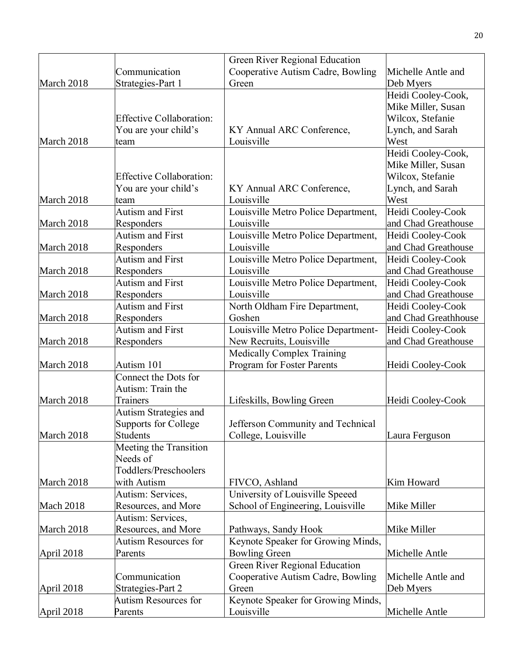|                  |                                 | Green River Regional Education      |                      |
|------------------|---------------------------------|-------------------------------------|----------------------|
|                  | Communication                   | Cooperative Autism Cadre, Bowling   | Michelle Antle and   |
| March 2018       | Strategies-Part 1               | Green                               | Deb Myers            |
|                  |                                 |                                     | Heidi Cooley-Cook,   |
|                  |                                 |                                     | Mike Miller, Susan   |
|                  | <b>Effective Collaboration:</b> |                                     | Wilcox, Stefanie     |
|                  | You are your child's            | KY Annual ARC Conference,           | Lynch, and Sarah     |
| March 2018       | team                            | Louisville                          | West                 |
|                  |                                 |                                     | Heidi Cooley-Cook,   |
|                  |                                 |                                     | Mike Miller, Susan   |
|                  | <b>Effective Collaboration:</b> |                                     | Wilcox, Stefanie     |
|                  | You are your child's            | KY Annual ARC Conference,           | Lynch, and Sarah     |
| March 2018       | team                            | Louisville                          | West                 |
|                  | <b>Autism and First</b>         | Louisville Metro Police Department, | Heidi Cooley-Cook    |
| March 2018       | Responders                      | Louisville                          | and Chad Greathouse  |
|                  | <b>Autism and First</b>         | Louisville Metro Police Department, | Heidi Cooley-Cook    |
| March 2018       | Responders                      | Louisville                          | and Chad Greathouse  |
|                  | <b>Autism and First</b>         | Louisville Metro Police Department, | Heidi Cooley-Cook    |
| March 2018       | Responders                      | Louisville                          | and Chad Greathouse  |
|                  | <b>Autism and First</b>         | Louisville Metro Police Department, | Heidi Cooley-Cook    |
| March 2018       | Responders                      | Louisville                          | and Chad Greathouse  |
|                  | <b>Autism and First</b>         | North Oldham Fire Department,       | Heidi Cooley-Cook    |
| March 2018       | Responders                      | Goshen                              | and Chad Greathhouse |
|                  | <b>Autism and First</b>         | Louisville Metro Police Department- | Heidi Cooley-Cook    |
| March 2018       | Responders                      | New Recruits, Louisville            | and Chad Greathouse  |
|                  |                                 | Medically Complex Training          |                      |
| March 2018       | Autism 101                      | Program for Foster Parents          | Heidi Cooley-Cook    |
|                  | Connect the Dots for            |                                     |                      |
|                  | Autism: Train the               |                                     |                      |
| March 2018       | Trainers                        | Lifeskills, Bowling Green           | Heidi Cooley-Cook    |
|                  | Autism Strategies and           |                                     |                      |
|                  | Supports for College            | Jefferson Community and Technical   |                      |
| March 2018       | <b>Students</b>                 | College, Louisville                 | Laura Ferguson       |
|                  | Meeting the Transition          |                                     |                      |
|                  | Needs of                        |                                     |                      |
|                  | Toddlers/Preschoolers           |                                     |                      |
| March 2018       | with Autism                     | FIVCO, Ashland                      | Kim Howard           |
|                  | Autism: Services,               | University of Louisville Speeed     |                      |
| <b>Mach 2018</b> | Resources, and More             | School of Engineering, Louisville   | Mike Miller          |
|                  | Autism: Services,               |                                     |                      |
| March 2018       | Resources, and More             | Pathways, Sandy Hook                | Mike Miller          |
|                  | <b>Autism Resources for</b>     | Keynote Speaker for Growing Minds,  |                      |
| April 2018       | Parents                         | <b>Bowling Green</b>                | Michelle Antle       |
|                  |                                 | Green River Regional Education      |                      |
|                  | Communication                   | Cooperative Autism Cadre, Bowling   | Michelle Antle and   |
| April 2018       | Strategies-Part 2               | Green                               | Deb Myers            |
|                  | <b>Autism Resources for</b>     | Keynote Speaker for Growing Minds,  |                      |
| April 2018       | Parents                         | Louisville                          | Michelle Antle       |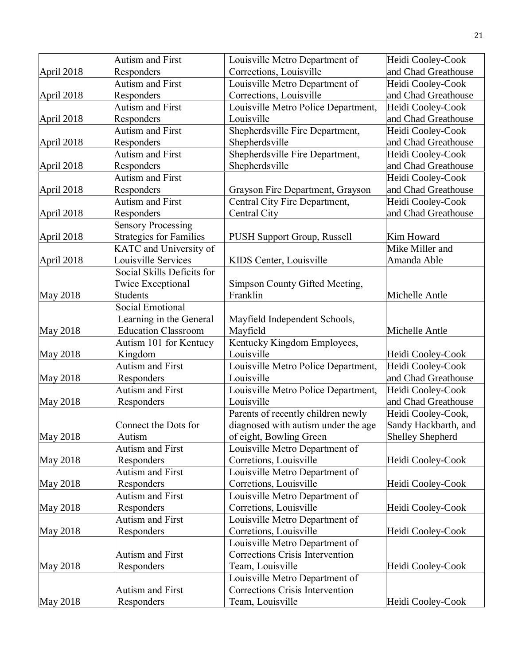|                 | <b>Autism and First</b>        | Louisville Metro Department of      | Heidi Cooley-Cook       |
|-----------------|--------------------------------|-------------------------------------|-------------------------|
| April 2018      | Responders                     | Corrections, Louisville             | and Chad Greathouse     |
|                 | <b>Autism and First</b>        | Louisville Metro Department of      | Heidi Cooley-Cook       |
| April 2018      | Responders                     | Corrections, Louisville             | and Chad Greathouse     |
|                 | <b>Autism and First</b>        | Louisville Metro Police Department, | Heidi Cooley-Cook       |
| April 2018      | Responders                     | Louisville                          | and Chad Greathouse     |
|                 | <b>Autism and First</b>        | Shepherdsville Fire Department,     | Heidi Cooley-Cook       |
| April 2018      | Responders                     | Shepherdsville                      | and Chad Greathouse     |
|                 | <b>Autism and First</b>        | Shepherdsville Fire Department,     | Heidi Cooley-Cook       |
| April 2018      | Responders                     | Shepherdsville                      | and Chad Greathouse     |
|                 | <b>Autism and First</b>        |                                     | Heidi Cooley-Cook       |
| April 2018      | Responders                     | Grayson Fire Department, Grayson    | and Chad Greathouse     |
|                 | <b>Autism and First</b>        | Central City Fire Department,       | Heidi Cooley-Cook       |
| April 2018      | Responders                     | Central City                        | and Chad Greathouse     |
|                 | <b>Sensory Processing</b>      |                                     |                         |
| April 2018      | <b>Strategies for Families</b> | PUSH Support Group, Russell         | Kim Howard              |
|                 | <b>KATC</b> and University of  |                                     | Mike Miller and         |
| April 2018      | ouisville Services             | KIDS Center, Louisville             | Amanda Able             |
|                 | Social Skills Deficits for     |                                     |                         |
|                 | <b>Twice Exceptional</b>       | Simpson County Gifted Meeting,      |                         |
| <b>May 2018</b> | <b>Students</b>                | Franklin                            | Michelle Antle          |
|                 | <b>Social Emotional</b>        |                                     |                         |
|                 | Learning in the General        | Mayfield Independent Schools,       |                         |
| <b>May 2018</b> | <b>Education Classroom</b>     | Mayfield                            | Michelle Antle          |
|                 | Autism 101 for Kentucy         | Kentucky Kingdom Employees,         |                         |
| <b>May 2018</b> | Kingdom                        | Louisville                          | Heidi Cooley-Cook       |
|                 | <b>Autism and First</b>        | Louisville Metro Police Department, | Heidi Cooley-Cook       |
| <b>May 2018</b> | Responders                     | Louisville                          | and Chad Greathouse     |
|                 | <b>Autism and First</b>        | Louisville Metro Police Department, | Heidi Cooley-Cook       |
| <b>May 2018</b> | Responders                     | Louisville                          | and Chad Greathouse     |
|                 |                                | Parents of recently children newly  | Heidi Cooley-Cook,      |
|                 | Connect the Dots for           | diagnosed with autism under the age | Sandy Hackbarth, and    |
| <b>May 2018</b> | Autism                         | of eight, Bowling Green             | <b>Shelley Shepherd</b> |
|                 | <b>Autism and First</b>        | Louisville Metro Department of      |                         |
| <b>May 2018</b> | Responders                     | Corretions, Louisville              | Heidi Cooley-Cook       |
|                 | <b>Autism and First</b>        | Louisville Metro Department of      |                         |
| <b>May 2018</b> | Responders                     | Corretions, Louisville              | Heidi Cooley-Cook       |
|                 | <b>Autism and First</b>        | Louisville Metro Department of      |                         |
| <b>May 2018</b> | Responders                     | Corretions, Louisville              | Heidi Cooley-Cook       |
|                 | <b>Autism and First</b>        | Louisville Metro Department of      |                         |
| <b>May 2018</b> | Responders                     | Corretions, Louisville              | Heidi Cooley-Cook       |
|                 |                                | Louisville Metro Department of      |                         |
|                 | <b>Autism and First</b>        | Corrections Crisis Intervention     |                         |
| <b>May 2018</b> | Responders                     | Team, Louisville                    | Heidi Cooley-Cook       |
|                 |                                | Louisville Metro Department of      |                         |
|                 | <b>Autism and First</b>        | Corrections Crisis Intervention     |                         |
| <b>May 2018</b> | Responders                     | Team, Louisville                    | Heidi Cooley-Cook       |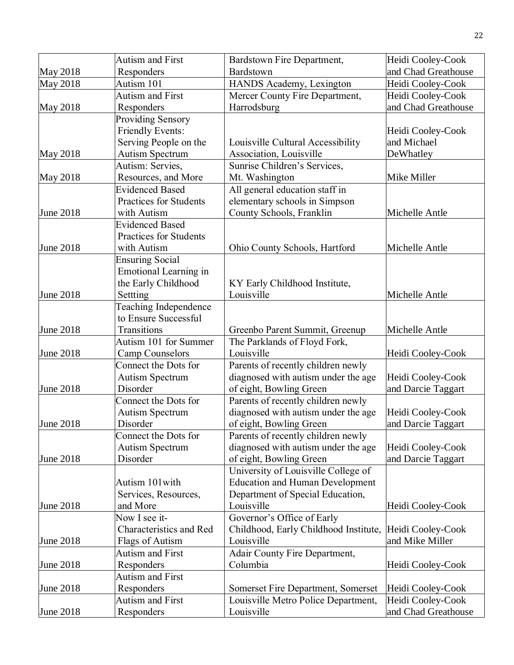|                  | <b>Autism and First</b>      | Bardstown Fire Department,             | Heidi Cooley-Cook   |
|------------------|------------------------------|----------------------------------------|---------------------|
| <b>May 2018</b>  | Responders                   | Bardstown                              | and Chad Greathouse |
| May 2018         | Autism 101                   | HANDS Academy, Lexington               | Heidi Cooley-Cook   |
|                  | <b>Autism and First</b>      | Mercer County Fire Department,         | Heidi Cooley-Cook   |
| <b>May 2018</b>  | Responders                   | Harrodsburg                            | and Chad Greathouse |
|                  | <b>Providing Sensory</b>     |                                        |                     |
|                  | Friendly Events:             |                                        | Heidi Cooley-Cook   |
|                  | Serving People on the        | Louisville Cultural Accessibility      | and Michael         |
| <b>May 2018</b>  | <b>Autism Spectrum</b>       | Association, Louisville                | DeWhatley           |
|                  | Autism: Servies,             | Sunrise Children's Services,           |                     |
| <b>May 2018</b>  | Resources, and More          | Mt. Washington                         | Mike Miller         |
|                  | <b>Evidenced Based</b>       | All general education staff in         |                     |
|                  | Practices for Students       | elementary schools in Simpson          |                     |
| June 2018        | with Autism                  | County Schools, Franklin               | Michelle Antle      |
|                  | <b>Evidenced Based</b>       |                                        |                     |
|                  | Practices for Students       |                                        |                     |
| June 2018        | with Autism                  | Ohio County Schools, Hartford          | Michelle Antle      |
|                  | <b>Ensuring Social</b>       |                                        |                     |
|                  | <b>Emotional Learning in</b> |                                        |                     |
|                  | the Early Childhood          | KY Early Childhood Institute,          |                     |
| <b>June 2018</b> | Settting                     | Louisville                             | Michelle Antle      |
|                  | Teaching Independence        |                                        |                     |
|                  | to Ensure Successful         |                                        |                     |
| June 2018        | Transitions                  | Greenbo Parent Summit, Greenup         | Michelle Antle      |
|                  | Autism 101 for Summer        | The Parklands of Floyd Fork,           |                     |
| <b>June 2018</b> | <b>Camp Counselors</b>       | Louisville                             | Heidi Cooley-Cook   |
|                  | Connect the Dots for         | Parents of recently children newly     |                     |
|                  | <b>Autism Spectrum</b>       | diagnosed with autism under the age    | Heidi Cooley-Cook   |
| June 2018        | Disorder                     | of eight, Bowling Green                | and Darcie Taggart  |
|                  | Connect the Dots for         | Parents of recently children newly     |                     |
|                  | <b>Autism Spectrum</b>       | diagnosed with autism under the age    | Heidi Cooley-Cook   |
| June 2018        | Disorder                     | of eight, Bowling Green                | and Darcie Taggart  |
|                  | Connect the Dots for         | Parents of recently children newly     |                     |
|                  | <b>Autism Spectrum</b>       | diagnosed with autism under the age    | Heidi Cooley-Cook   |
| <b>June 2018</b> | Disorder                     | of eight, Bowling Green                | and Darcie Taggart  |
|                  |                              | University of Louisville College of    |                     |
|                  | Autism 101 with              | <b>Education and Human Development</b> |                     |
|                  | Services, Resources,         | Department of Special Education,       |                     |
| June 2018        | and More                     | Louisville                             | Heidi Cooley-Cook   |
|                  | Now I see it-                | Governor's Office of Early             |                     |
|                  | Characteristics and Red      | Childhood, Early Childhood Institute,  | Heidi Cooley-Cook   |
| <b>June 2018</b> | Flags of Autism              | Louisville                             | and Mike Miller     |
|                  | <b>Autism and First</b>      | Adair County Fire Department,          |                     |
| June 2018        | Responders                   | Columbia                               | Heidi Cooley-Cook   |
|                  | <b>Autism and First</b>      |                                        |                     |
| June 2018        | Responders                   | Somerset Fire Department, Somerset     | Heidi Cooley-Cook   |
|                  | <b>Autism and First</b>      | Louisville Metro Police Department,    | Heidi Cooley-Cook   |
| <b>June 2018</b> | Responders                   | Louisville                             | and Chad Greathouse |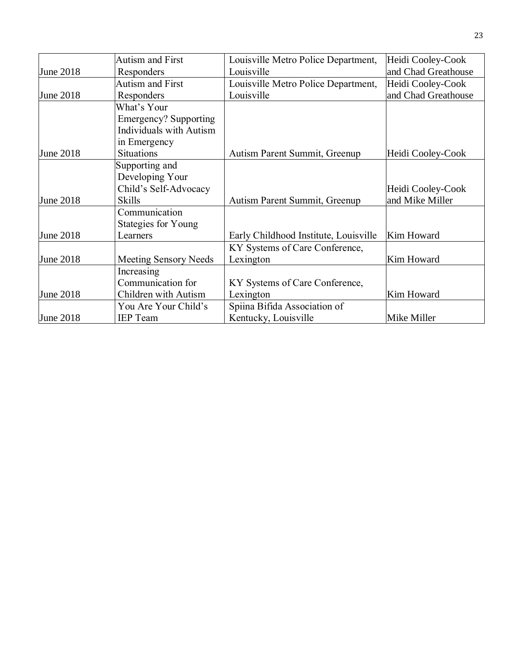|                  | Autism and First               | Louisville Metro Police Department,   | Heidi Cooley-Cook   |
|------------------|--------------------------------|---------------------------------------|---------------------|
| <b>June 2018</b> | Responders                     | Louisville                            | and Chad Greathouse |
|                  | <b>Autism and First</b>        | Louisville Metro Police Department,   | Heidi Cooley-Cook   |
| June 2018        | Responders                     | Louisville                            | and Chad Greathouse |
|                  | What's Your                    |                                       |                     |
|                  | Emergency? Supporting          |                                       |                     |
|                  | <b>Individuals with Autism</b> |                                       |                     |
|                  | in Emergency                   |                                       |                     |
| June 2018        | <b>Situations</b>              | Autism Parent Summit, Greenup         | Heidi Cooley-Cook   |
|                  | Supporting and                 |                                       |                     |
|                  | Developing Your                |                                       |                     |
|                  | Child's Self-Advocacy          |                                       | Heidi Cooley-Cook   |
| June 2018        | <b>Skills</b>                  | Autism Parent Summit, Greenup         | and Mike Miller     |
|                  | Communication                  |                                       |                     |
|                  | Stategies for Young            |                                       |                     |
| June 2018        | Learners                       | Early Childhood Institute, Louisville | Kim Howard          |
|                  |                                | KY Systems of Care Conference,        |                     |
| June 2018        | <b>Meeting Sensory Needs</b>   | Lexington                             | Kim Howard          |
|                  | Increasing                     |                                       |                     |
|                  | Communication for              | KY Systems of Care Conference,        |                     |
| June 2018        | Children with Autism           | Lexington                             | Kim Howard          |
|                  | You Are Your Child's           | Spiina Bifida Association of          |                     |
| June 2018        | <b>IEP</b> Team                | Kentucky, Louisville                  | Mike Miller         |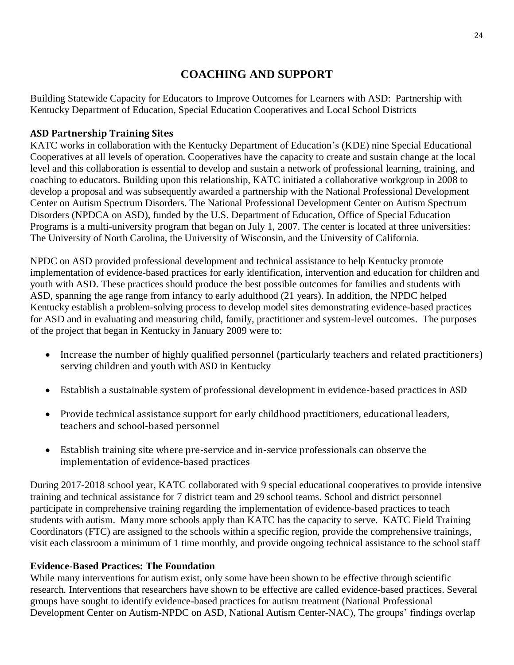# **COACHING AND SUPPORT**

Building Statewide Capacity for Educators to Improve Outcomes for Learners with ASD: Partnership with Kentucky Department of Education, Special Education Cooperatives and Local School Districts

#### **ASD Partnership Training Sites**

KATC works in collaboration with the Kentucky Department of Education's (KDE) nine Special Educational Cooperatives at all levels of operation. Cooperatives have the capacity to create and sustain change at the local level and this collaboration is essential to develop and sustain a network of professional learning, training, and coaching to educators. Building upon this relationship, KATC initiated a collaborative workgroup in 2008 to develop a proposal and was subsequently awarded a partnership with the National Professional Development Center on Autism Spectrum Disorders. The National Professional Development Center on Autism Spectrum Disorders (NPDCA on ASD), funded by the U.S. Department of Education, Office of Special Education Programs is a multi-university program that began on July 1, 2007. The center is located at three universities: The University of North Carolina, the University of Wisconsin, and the University of California.

NPDC on ASD provided professional development and technical assistance to help Kentucky promote implementation of evidence-based practices for early identification, intervention and education for children and youth with ASD. These practices should produce the best possible outcomes for families and students with ASD, spanning the age range from infancy to early adulthood (21 years). In addition, the NPDC helped Kentucky establish a problem-solving process to develop model sites demonstrating evidence-based practices for ASD and in evaluating and measuring child, family, practitioner and system-level outcomes. The purposes of the project that began in Kentucky in January 2009 were to:

- Increase the number of highly qualified personnel (particularly teachers and related practitioners) serving children and youth with ASD in Kentucky
- Establish a sustainable system of professional development in evidence-based practices in ASD
- Provide technical assistance support for early childhood practitioners, educational leaders, teachers and school-based personnel
- Establish training site where pre-service and in-service professionals can observe the implementation of evidence-based practices

During 2017-2018 school year, KATC collaborated with 9 special educational cooperatives to provide intensive training and technical assistance for 7 district team and 29 school teams. School and district personnel participate in comprehensive training regarding the implementation of evidence-based practices to teach students with autism. Many more schools apply than KATC has the capacity to serve. KATC Field Training Coordinators (FTC) are assigned to the schools within a specific region, provide the comprehensive trainings, visit each classroom a minimum of 1 time monthly, and provide ongoing technical assistance to the school staff

#### **Evidence-Based Practices: The Foundation**

While many interventions for autism exist, only some have been shown to be effective through scientific research. Interventions that researchers have shown to be effective are called evidence-based practices. Several groups have sought to identify evidence-based practices for autism treatment (National Professional Development Center on Autism-NPDC on ASD, National Autism Center-NAC), The groups' findings overlap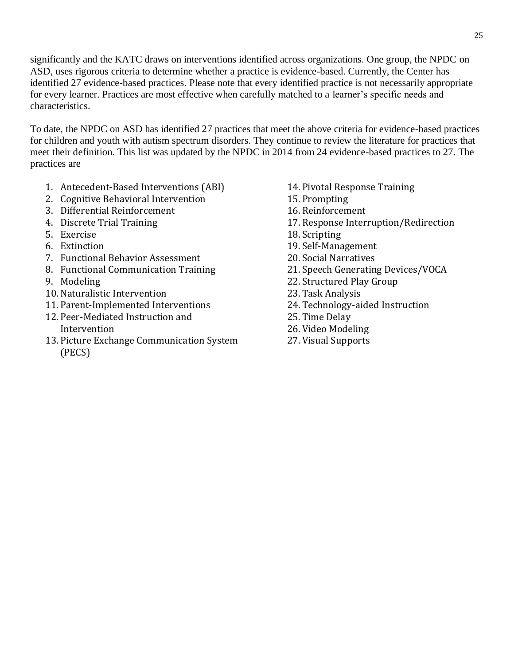significantly and the KATC draws on interventions identified across organizations. One group, the NPDC on ASD, uses rigorous criteria to determine whether a practice is evidence-based. Currently, the Center has identified 27 evidence-based practices. Please note that every identified practice is not necessarily appropriate for every learner. Practices are most effective when carefully matched to a learner's specific needs and characteristics.

To date, the NPDC on ASD has identified 27 practices that meet the above criteria for evidence-based practices for children and youth with autism spectrum disorders. They continue to review the literature for practices that meet their definition. This list was updated by the NPDC in 2014 from 24 evidence-based practices to 27. The practices are

- 1. Antecedent-Based Interventions (ABI)
- 2. Cognitive Behavioral Intervention
- 3. Differential Reinforcement
- 4. Discrete Trial Training
- 5. Exercise
- 6. Extinction
- 7. Functional Behavior Assessment
- 8. Functional Communication Training
- 9. Modeling
- 10.Naturalistic Intervention
- 11. Parent-Implemented Interventions
- 12. Peer-Mediated Instruction and Intervention
- 13. Picture Exchange Communication System (PECS)
- 14. Pivotal Response Training
- 15. Prompting
- 16. Reinforcement
- 17. Response Interruption/Redirection
- 18.Scripting
- 19.Self-Management
- 20.Social Narratives
- 21.Speech Generating Devices/VOCA
- 22.Structured Play Group
- 23. Task Analysis
- 24. Technology-aided Instruction
- 25. Time Delay
- 26. Video Modeling
- 27. Visual Supports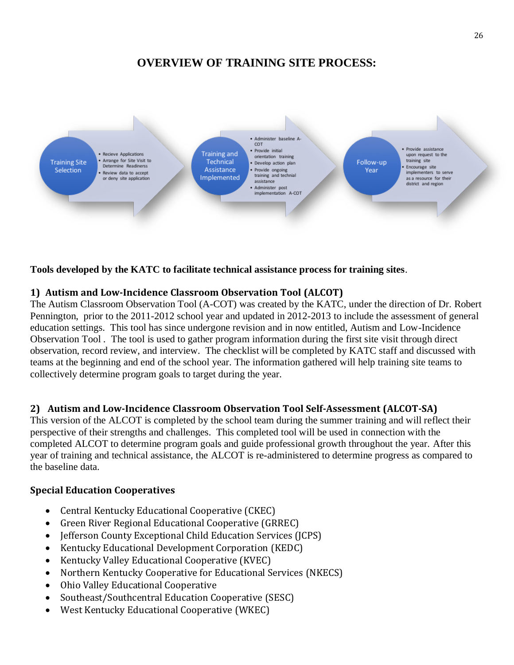# **OVERVIEW OF TRAINING SITE PROCESS:**



**Tools developed by the KATC to facilitate technical assistance process for training sites**.

#### **1) Autism and Low-Incidence Classroom Observation Tool (ALCOT)**

The Autism Classroom Observation Tool (A-COT) was created by the KATC, under the direction of Dr. Robert Pennington, prior to the 2011-2012 school year and updated in 2012-2013 to include the assessment of general education settings. This tool has since undergone revision and in now entitled, Autism and Low-Incidence Observation Tool . The tool is used to gather program information during the first site visit through direct observation, record review, and interview. The checklist will be completed by KATC staff and discussed with teams at the beginning and end of the school year. The information gathered will help training site teams to collectively determine program goals to target during the year.

#### **2) Autism and Low-Incidence Classroom Observation Tool Self-Assessment (ALCOT-SA)**

This version of the ALCOT is completed by the school team during the summer training and will reflect their perspective of their strengths and challenges. This completed tool will be used in connection with the completed ALCOT to determine program goals and guide professional growth throughout the year. After this year of training and technical assistance, the ALCOT is re-administered to determine progress as compared to the baseline data.

#### **Special Education Cooperatives**

- [Central Kentucky Educational Cooperative](http://www.cksec.org/) (CKEC)
- [Green River Regional Educational Cooperative](http://www.grrec.ky.gov/) (GRREC)
- Jefferson County Exceptional Child Education Services (JCPS)
- [Kentucky Educational Development Corporation](http://www.bigeastcoop.org/Pages/Default.aspx) (KEDC)
- [Kentucky Valley Educational Cooperative](http://www.kentuckyvalley.org/test/c_Index_5_English.htm) (KVEC)
- [Northern Kentucky Cooperative for Educational Services](http://www.nkces.org/school_home.aspx?schoolID=2) (NKECS)
- [Ohio Valley Educational Cooperative](http://www.ovec.org/)
- [Southeast/Southcentral Education Cooperative](http://www.sesccoop.org/) (SESC)
- [West Kentucky Educational Cooperative](http://wkec.org/dev/) (WKEC)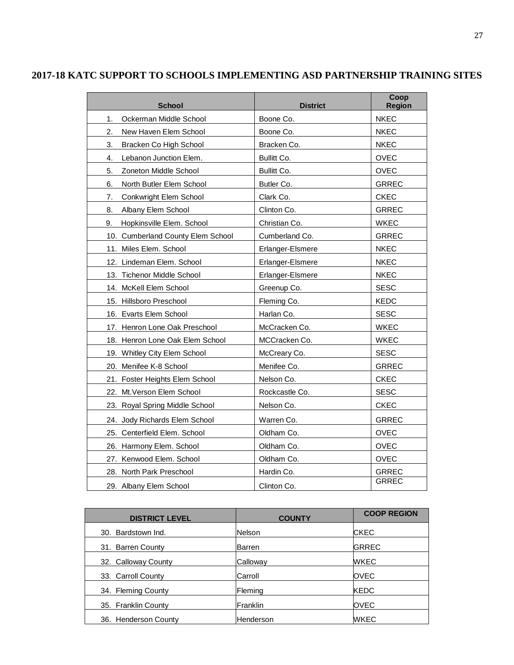| <b>School</b>                     | <b>District</b>  | Coop<br><b>Region</b> |
|-----------------------------------|------------------|-----------------------|
| Ockerman Middle School<br>1.      | Boone Co.        | <b>NKEC</b>           |
| New Haven Elem School<br>2.       | Boone Co.        | <b>NKEC</b>           |
| 3.<br>Bracken Co High School      | Bracken Co.      | <b>NKEC</b>           |
| Lebanon Junction Elem.<br>4.      | Bullitt Co.      | <b>OVEC</b>           |
| 5.<br>Zoneton Middle School       | Bullitt Co.      | <b>OVEC</b>           |
| North Butler Elem School<br>6.    | Butler Co.       | <b>GRREC</b>          |
| 7.<br>Conkwright Elem School      | Clark Co.        | <b>CKEC</b>           |
| Albany Elem School<br>8.          | Clinton Co.      | <b>GRREC</b>          |
| 9.<br>Hopkinsville Elem. School   | Christian Co.    | <b>WKEC</b>           |
| 10. Cumberland County Elem School | Cumberland Co.   | <b>GRREC</b>          |
| 11. Miles Elem. School            | Erlanger-Elsmere | <b>NKEC</b>           |
| 12. Lindeman Elem. School         | Erlanger-Elsmere | <b>NKEC</b>           |
| 13. Tichenor Middle School        | Erlanger-Elsmere | <b>NKEC</b>           |
| 14. McKell Elem School            | Greenup Co.      | <b>SESC</b>           |
| 15. Hillsboro Preschool           | Fleming Co.      | KEDC                  |
| 16. Evarts Elem School            | Harlan Co.       | <b>SESC</b>           |
| 17. Henron Lone Oak Preschool     | McCracken Co.    | <b>WKEC</b>           |
| 18. Henron Lone Oak Elem School   | MCCracken Co.    | <b>WKEC</b>           |
| 19. Whitley City Elem School      | McCreary Co.     | <b>SESC</b>           |
| 20. Menifee K-8 School            | Menifee Co.      | <b>GRREC</b>          |
| 21. Foster Heights Elem School    | Nelson Co.       | <b>CKEC</b>           |
| 22. Mt. Verson Elem School        | Rockcastle Co.   | <b>SESC</b>           |
| 23. Royal Spring Middle School    | Nelson Co.       | <b>CKEC</b>           |
| 24. Jody Richards Elem School     | Warren Co.       | <b>GRREC</b>          |
| 25. Centerfield Elem. School      | Oldham Co.       | <b>OVEC</b>           |
| 26. Harmony Elem. School          | Oldham Co.       | <b>OVEC</b>           |
| 27. Kenwood Elem. School          | Oldham Co.       | OVEC                  |
| 28. North Park Preschool          | Hardin Co.       | <b>GRREC</b>          |
| 29. Albany Elem School            | Clinton Co.      | <b>GRREC</b>          |

#### **2017-18 KATC SUPPORT TO SCHOOLS IMPLEMENTING ASD PARTNERSHIP TRAINING SITES**

| <b>DISTRICT LEVEL</b> | <b>COUNTY</b> | <b>COOP REGION</b> |
|-----------------------|---------------|--------------------|
| 30. Bardstown Ind.    | <b>Nelson</b> | <b>CKEC</b>        |
| 31. Barren County     | Barren        | <b>GRREC</b>       |
| 32. Calloway County   | Calloway      | <b>WKEC</b>        |
| 33. Carroll County    | Carroll       | <b>OVEC</b>        |
| 34. Fleming County    | Fleming       | <b>KEDC</b>        |
| 35. Franklin County   | Franklin      | <b>OVEC</b>        |
| 36. Henderson County  | Henderson     | <b>WKEC</b>        |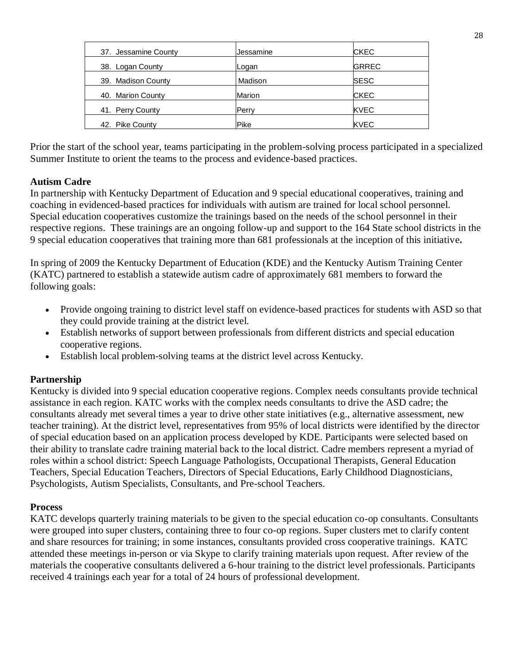| 37. Jessamine County | Jessamine     | <b>CKEC</b>  |  |
|----------------------|---------------|--------------|--|
| 38. Logan County     | Logan         | <b>GRREC</b> |  |
| 39. Madison County   | Madison       | <b>SESC</b>  |  |
| 40. Marion County    | <b>Marion</b> | <b>CKEC</b>  |  |
| 41. Perry County     | Perry         | <b>KVEC</b>  |  |
| 42. Pike County      | Pike          | <b>KVEC</b>  |  |

Prior the start of the school year, teams participating in the problem-solving process participated in a specialized Summer Institute to orient the teams to the process and evidence-based practices.

#### **Autism Cadre**

In partnership with Kentucky Department of Education and 9 special educational cooperatives, training and coaching in evidenced-based practices for individuals with autism are trained for local school personnel. Special education cooperatives customize the trainings based on the needs of the school personnel in their respective regions. These trainings are an ongoing follow-up and support to the 164 State school districts in the 9 special education cooperatives that training more than 681 professionals at the inception of this initiative**.**

In spring of 2009 the Kentucky Department of Education (KDE) and the Kentucky Autism Training Center (KATC) partnered to establish a statewide autism cadre of approximately 681 members to forward the following goals:

- Provide ongoing training to district level staff on evidence-based practices for students with ASD so that they could provide training at the district level.
- Establish networks of support between professionals from different districts and special education cooperative regions.
- Establish local problem-solving teams at the district level across Kentucky.

#### **Partnership**

Kentucky is divided into 9 special education cooperative regions. Complex needs consultants provide technical assistance in each region. KATC works with the complex needs consultants to drive the ASD cadre; the consultants already met several times a year to drive other state initiatives (e.g., alternative assessment, new teacher training). At the district level, representatives from 95% of local districts were identified by the director of special education based on an application process developed by KDE. Participants were selected based on their ability to translate cadre training material back to the local district. Cadre members represent a myriad of roles within a school district: Speech Language Pathologists, Occupational Therapists, General Education Teachers, Special Education Teachers, Directors of Special Educations, Early Childhood Diagnosticians, Psychologists, Autism Specialists, Consultants, and Pre-school Teachers.

#### **Process**

KATC develops quarterly training materials to be given to the special education co-op consultants. Consultants were grouped into super clusters, containing three to four co-op regions. Super clusters met to clarify content and share resources for training; in some instances, consultants provided cross cooperative trainings. KATC attended these meetings in-person or via Skype to clarify training materials upon request. After review of the materials the cooperative consultants delivered a 6-hour training to the district level professionals. Participants received 4 trainings each year for a total of 24 hours of professional development.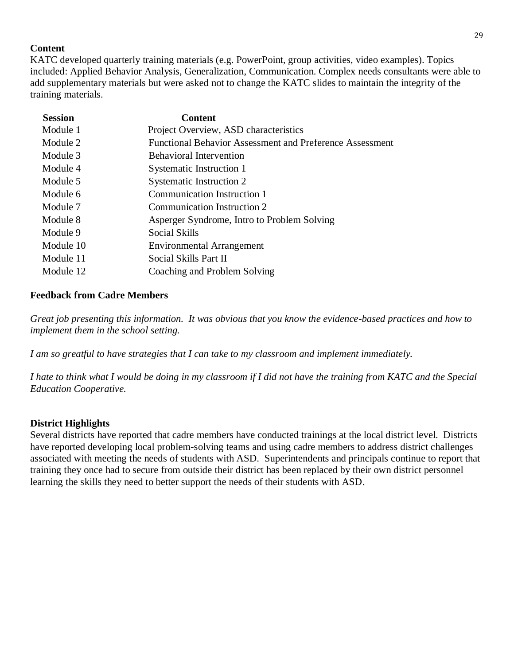#### **Content**

KATC developed quarterly training materials (e.g. PowerPoint, group activities, video examples). Topics included: Applied Behavior Analysis, Generalization, Communication. Complex needs consultants were able to add supplementary materials but were asked not to change the KATC slides to maintain the integrity of the training materials.

| <b>Session</b> | <b>Content</b>                                                  |
|----------------|-----------------------------------------------------------------|
| Module 1       | Project Overview, ASD characteristics                           |
| Module 2       | <b>Functional Behavior Assessment and Preference Assessment</b> |
| Module 3       | <b>Behavioral Intervention</b>                                  |
| Module 4       | Systematic Instruction 1                                        |
| Module 5       | Systematic Instruction 2                                        |
| Module 6       | <b>Communication Instruction 1</b>                              |
| Module 7       | Communication Instruction 2                                     |
| Module 8       | Asperger Syndrome, Intro to Problem Solving                     |
| Module 9       | Social Skills                                                   |
| Module 10      | <b>Environmental Arrangement</b>                                |
| Module 11      | Social Skills Part II                                           |
| Module 12      | Coaching and Problem Solving                                    |
|                |                                                                 |

#### **Feedback from Cadre Members**

*Great job presenting this information. It was obvious that you know the evidence-based practices and how to implement them in the school setting.* 

*I am so greatful to have strategies that I can take to my classroom and implement immediately.* 

*I hate to think what I would be doing in my classroom if I did not have the training from KATC and the Special Education Cooperative.* 

#### **District Highlights**

Several districts have reported that cadre members have conducted trainings at the local district level. Districts have reported developing local problem-solving teams and using cadre members to address district challenges associated with meeting the needs of students with ASD. Superintendents and principals continue to report that training they once had to secure from outside their district has been replaced by their own district personnel learning the skills they need to better support the needs of their students with ASD.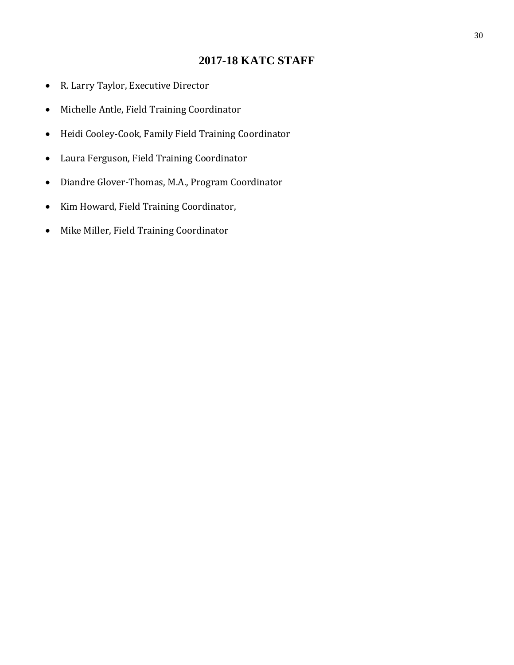# **2017-18 KATC STAFF**

- R. Larry Taylor, Executive Director
- Michelle Antle, Field Training Coordinator
- Heidi Cooley-Cook, Family Field Training Coordinator
- Laura Ferguson, Field Training Coordinator
- Diandre Glover-Thomas, M.A., Program Coordinator
- Kim Howard, Field Training Coordinator,
- Mike Miller, Field Training Coordinator